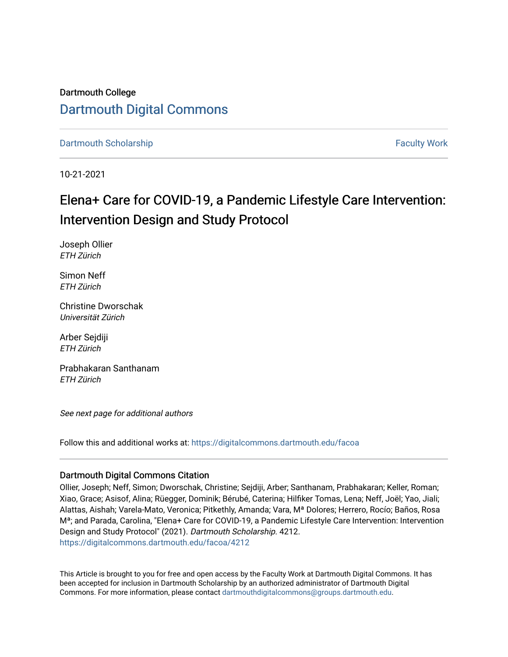# Dartmouth College [Dartmouth Digital Commons](https://digitalcommons.dartmouth.edu/)

[Dartmouth Scholarship](https://digitalcommons.dartmouth.edu/facoa) [Faculty Work](https://digitalcommons.dartmouth.edu/faculty) and The Basic Scholarship Faculty Work Faculty Work

10-21-2021

# Elena+ Care for COVID-19, a Pandemic Lifestyle Care Intervention: Intervention Design and Study Protocol

Joseph Ollier ETH Zürich

Simon Neff ETH Zürich

Christine Dworschak Universität Zürich

Arber Sejdiji ETH Zürich

Prabhakaran Santhanam ETH Zürich

See next page for additional authors

Follow this and additional works at: [https://digitalcommons.dartmouth.edu/facoa](https://digitalcommons.dartmouth.edu/facoa?utm_source=digitalcommons.dartmouth.edu%2Ffacoa%2F4212&utm_medium=PDF&utm_campaign=PDFCoverPages)

## Dartmouth Digital Commons Citation

Ollier, Joseph; Neff, Simon; Dworschak, Christine; Sejdiji, Arber; Santhanam, Prabhakaran; Keller, Roman; Xiao, Grace; Asisof, Alina; Rüegger, Dominik; Bérubé, Caterina; Hilfiker Tomas, Lena; Neff, Joël; Yao, Jiali; Alattas, Aishah; Varela-Mato, Veronica; Pitkethly, Amanda; Vara, Mª Dolores; Herrero, Rocío; Baños, Rosa Mª; and Parada, Carolina, "Elena+ Care for COVID-19, a Pandemic Lifestyle Care Intervention: Intervention Design and Study Protocol" (2021). Dartmouth Scholarship. 4212. [https://digitalcommons.dartmouth.edu/facoa/4212](https://digitalcommons.dartmouth.edu/facoa/4212?utm_source=digitalcommons.dartmouth.edu%2Ffacoa%2F4212&utm_medium=PDF&utm_campaign=PDFCoverPages) 

This Article is brought to you for free and open access by the Faculty Work at Dartmouth Digital Commons. It has been accepted for inclusion in Dartmouth Scholarship by an authorized administrator of Dartmouth Digital Commons. For more information, please contact [dartmouthdigitalcommons@groups.dartmouth.edu](mailto:dartmouthdigitalcommons@groups.dartmouth.edu).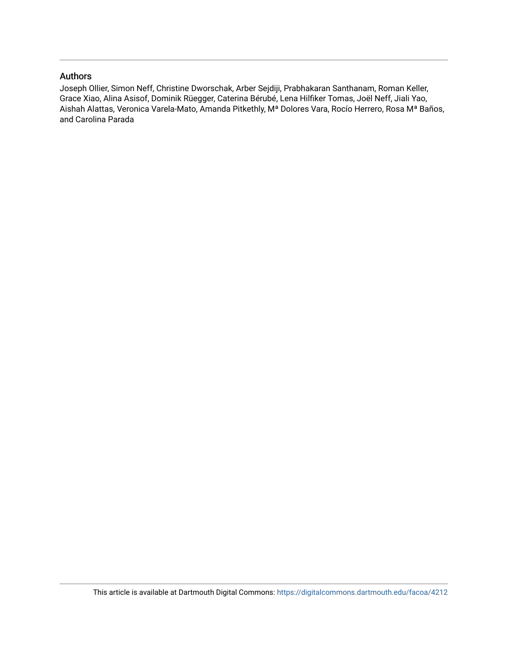### Authors

Joseph Ollier, Simon Neff, Christine Dworschak, Arber Sejdiji, Prabhakaran Santhanam, Roman Keller, Grace Xiao, Alina Asisof, Dominik Rüegger, Caterina Bérubé, Lena Hilfiker Tomas, Joël Neff, Jiali Yao, Aishah Alattas, Veronica Varela-Mato, Amanda Pitkethly, Mª Dolores Vara, Rocío Herrero, Rosa Mª Baños, and Carolina Parada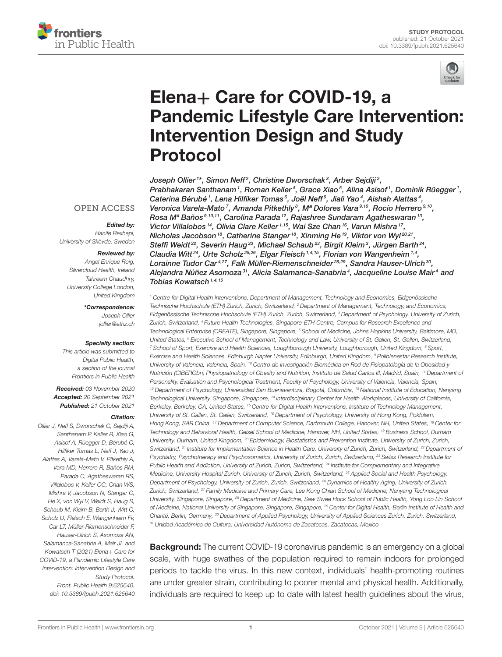



# Elena+ Care for COVID-19, a [Pandemic Lifestyle Care Intervention:](https://www.frontiersin.org/articles/10.3389/fpubh.2021.625640/full) Intervention Design and Study Protocol

Joseph Ollier1\*, Simon Neff<sup>2</sup>, Christine Dworschak<sup>3</sup>, Arber Sejdiji<sup>2</sup>, Prabhakaran Santhanam1, Roman Keller4, Grace Xiao5, Alina Asisof1, Dominik Rüegger1, Caterina Bérubé<sup>1</sup>, Lena Hilfiker Tomas<sup>6</sup>, Joël Neff<sup>6</sup>, Jiali Yao<sup>4</sup>, Aishah Alattas<sup>4</sup>, Veronica Varela-Mato<sup>7</sup>, Amanda Pitkethly<sup>8</sup>, Mª Dolores Vara<sup>9,10</sup>, Rocío Herrero<sup>9,10</sup>, Rosa Mª Baños 9,10,11, Carolina Parada 12, Rajashree Sundaram Agatheswaran 13, Victor Villalobos<sup>14</sup>, Olivia Clare Keller<sup>1,15</sup>, Wai Sze Chan<sup>16</sup>, Varun Mishra<sup>17</sup>, Nicholas Jacobson<sup>18</sup>, Catherine Stanger<sup>18</sup>, Xinming He<sup>19</sup>, Viktor von Wyl<sup>20,21</sup>, Steffi Weidt $^{22}$ , Severin Haug $^{23}$ , Michael Schaub $^{23}$ , Birgit Kleim $^3$ , Jürgen Barth $^{24}$ , Claudia Witt<sup>24</sup>, Urte Scholz<sup>25,26</sup>, Elgar Fleisch<sup>1,4,15</sup>, Florian von Wangenheim<sup>1,4</sup>, Lorainne Tudor Car<sup>4,27</sup>, Falk Müller-Riemenschneider<sup>28,29</sup>, Sandra Hauser-Ulrich <sup>30</sup>, Alejandra Núñez Asomoza $^{\mathfrak{sl}},$  Alicia Salamanca-Sanabria $^{\mathfrak{4}},$  Jacqueline Louise Mair $^{\mathfrak{4}}$  and Tobias Kowatsch<sup> $1,4,15$ </sup>

<sup>1</sup> Centre for Digital Health Interventions, Department of Management, Technology and Economics, Eidgenössische Technische Hochschule (ETH) Zurich, Zurich, Switzerland, <sup>2</sup> Department of Management, Technology, and Economics, Eidgenössische Technische Hochschule (ETH) Zurich, Zurich, Switzerland, <sup>3</sup> Department of Psychology, University of Zurich, Zurich, Switzerland, <sup>4</sup> Future Health Technologies, Singapore-ETH Centre, Campus for Research Excellence and Technological Enterprise (CREATE), Singapore, Singapore, <sup>5</sup> School of Medicine, Johns Hopkins University, Baltimore, MD, United States, <sup>6</sup> Executive School of Management, Technology and Law, University of St. Gallen, St. Gallen, Switzerland, <sup>7</sup> School of Sport, Exercise and Health Sciences, Loughborough University, Loughborough, United Kingdom, <sup>8</sup> Sport, Exercise and Health Sciences, Edinburgh Napier University, Edinburgh, United Kingdom, <sup>9</sup> Polibienestar Research Institute, University of Valencia, Valencia, Spain, <sup>10</sup> Centro de Investigación Biomédica en Red de Fisiopatología de la Obesidad y Nutrición (CIBERObn) Physiopathology of Obesity and Nutrition, Instituto de Salud Carlos III, Madrid, Spain, <sup>11</sup> Department of Personality, Evaluation and Psychological Treatment, Faculty of Psychology, University of Valencia, Valencia, Spain, <sup>12</sup> Department of Psychology, Universidad San Buenaventura, Bogotá, Colombia, <sup>13</sup> National Institute of Education, Nanyang Technological University, Singapore, Singapore, <sup>14</sup> Interdisciplinary Center for Health Workplaces, University of California, Berkeley, Berkeley, CA, United States, <sup>15</sup> Centre for Digital Health Interventions, Institute of Technology Management, University of St. Gallen, St. Gallen, Switzerland, <sup>16</sup> Department of Psychology, University of Hong Kong, Pokfulam, Hong Kong, SAR China, <sup>17</sup> Department of Computer Science, Dartmouth College, Hanover, NH, United States, <sup>18</sup> Center for Technology and Behavioral Health, Geisel School of Medicine, Hanover, NH, United States, <sup>19</sup> Business School, Durham University, Durham, United Kingdom, <sup>20</sup> Epidemiology, Biostatistics and Prevention Institute, University of Zurich, Zurich, Switzerland, <sup>21</sup> Institute for Implementation Science in Health Care, University of Zurich, Zurich, Switzerland, <sup>22</sup> Department of Psychiatry, Psychotherapy and Psychosomatics, University of Zurich, Zurich, Switzerland, <sup>23</sup> Swiss Research Institute for Public Health and Addiction, University of Zurich, Zurich, Switzerland, <sup>24</sup> Institute for Complementary and Integrative Medicine, University Hospital Zurich, University of Zurich, Zurich, Switzerland, <sup>25</sup> Applied Social and Health Psychology, Department of Psychology, University of Zurich, Zurich, Switzerland, <sup>26</sup> Dynamics of Healthy Aging, University of Zurich, Zurich, Switzerland, <sup>27</sup> Family Medicine and Primary Care, Lee Kong Chian School of Medicine, Nanyang Technological University, Singapore, Singapore, <sup>28</sup> Department of Medicine, Saw Swee Hock School of Public Health, Yong Loo Lin School of Medicine, National University of Singapore, Singapore, Singapore, <sup>29</sup> Center for Digital Health, Berlin Institute of Health and Charité, Berlin, Germany, <sup>30</sup> Department of Applied Psychology, University of Applied Sciences Zurich, Zurich, Switzerland, <sup>31</sup> Unidad Académica de Cultura, Universidad Autónoma de Zacatecas, Zacatecas, Mexico

**Background:** The current COVID-19 coronavirus pandemic is an emergency on a global scale, with huge swathes of the population required to remain indoors for prolonged periods to tackle the virus. In this new context, individuals' health-promoting routines are under greater strain, contributing to poorer mental and physical health. Additionally, individuals are required to keep up to date with latest health guidelines about the virus,

#### **OPEN ACCESS**

#### Edited by:

Hanife Rexhepi, University of Skövde, Sweden

#### Reviewed by:

Angel Enrique Roig, Silvercloud Health, Ireland Tahreem Chaudhry, University College London, United Kingdom

\*Correspondence:

Joseph Ollier [jollier@ethz.ch](mailto:jollier@ethz.ch)

#### Specialty section:

This article was submitted to Digital Public Health, a section of the journal Frontiers in Public Health

Received: 03 November 2020 Accepted: 20 September 2021 Published: 21 October 2021

#### Citation:

Ollier J, Neff S, Dworschak C, Sejdiji A, Santhanam P, Keller R, Xiao G, Asisof A, Rüegger D, Bérubé C, Hilfiker Tomas L, Neff J, Yao J, Alattas A, Varela-Mato V, Pitkethly A, Vara MD, Herrero R, Baños RM, Parada C, Agatheswaran RS, Villalobos V, Keller OC, Chan WS, Mishra V, Jacobson N, Stanger C, He X, von Wyl V, Weidt S, Haug S, Schaub M, Kleim B, Barth J, Witt C, Scholz U, Fleisch E, Wangenheim Fv, Car LT, Müller-Riemenschneider F, Hauser-Ulrich S, Asomoza AN, Salamanca-Sanabria A, Mair JL and Kowatsch T (2021) Elena+ Care for COVID-19, a Pandemic Lifestyle Care Intervention: Intervention Design and Study Protocol. Front. Public Health 9:625640. doi: [10.3389/fpubh.2021.625640](https://doi.org/10.3389/fpubh.2021.625640)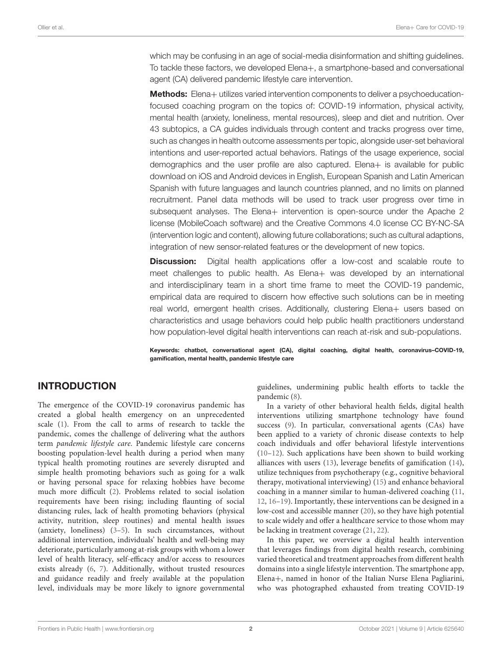which may be confusing in an age of social-media disinformation and shifting guidelines. To tackle these factors, we developed Elena+, a smartphone-based and conversational agent (CA) delivered pandemic lifestyle care intervention.

Methods: Elena+ utilizes varied intervention components to deliver a psychoeducationfocused coaching program on the topics of: COVID-19 information, physical activity, mental health (anxiety, loneliness, mental resources), sleep and diet and nutrition. Over 43 subtopics, a CA guides individuals through content and tracks progress over time, such as changes in health outcome assessments per topic, alongside user-set behavioral intentions and user-reported actual behaviors. Ratings of the usage experience, social demographics and the user profile are also captured. Elena+ is available for public download on iOS and Android devices in English, European Spanish and Latin American Spanish with future languages and launch countries planned, and no limits on planned recruitment. Panel data methods will be used to track user progress over time in subsequent analyses. The Elena+ intervention is open-source under the Apache 2 license (MobileCoach software) and the Creative Commons 4.0 license CC BY-NC-SA (intervention logic and content), allowing future collaborations; such as cultural adaptions, integration of new sensor-related features or the development of new topics.

**Discussion:** Digital health applications offer a low-cost and scalable route to meet challenges to public health. As Elena+ was developed by an international and interdisciplinary team in a short time frame to meet the COVID-19 pandemic, empirical data are required to discern how effective such solutions can be in meeting real world, emergent health crises. Additionally, clustering Elena+ users based on characteristics and usage behaviors could help public health practitioners understand how population-level digital health interventions can reach at-risk and sub-populations.

Keywords: chatbot, conversational agent (CA), digital coaching, digital health, coronavirus–COVID-19, gamification, mental health, pandemic lifestyle care

## INTRODUCTION

The emergence of the COVID-19 coronavirus pandemic has created a global health emergency on an unprecedented scale [\(1\)](#page-14-0). From the call to arms of research to tackle the pandemic, comes the challenge of delivering what the authors term pandemic lifestyle care. Pandemic lifestyle care concerns boosting population-level health during a period when many typical health promoting routines are severely disrupted and simple health promoting behaviors such as going for a walk or having personal space for relaxing hobbies have become much more difficult [\(2\)](#page-14-1). Problems related to social isolation requirements have been rising; including flaunting of social distancing rules, lack of health promoting behaviors (physical activity, nutrition, sleep routines) and mental health issues (anxiety, loneliness) [\(3–](#page-14-2)[5\)](#page-14-3). In such circumstances, without additional intervention, individuals' health and well-being may deteriorate, particularly among at-risk groups with whom a lower level of health literacy, self-efficacy and/or access to resources exists already [\(6,](#page-14-4) [7\)](#page-14-5). Additionally, without trusted resources and guidance readily and freely available at the population level, individuals may be more likely to ignore governmental

guidelines, undermining public health efforts to tackle the pandemic [\(8\)](#page-14-6).

In a variety of other behavioral health fields, digital health interventions utilizing smartphone technology have found success [\(9\)](#page-14-7). In particular, conversational agents (CAs) have been applied to a variety of chronic disease contexts to help coach individuals and offer behavioral lifestyle interventions [\(10](#page-14-8)[–12\)](#page-14-9). Such applications have been shown to build working alliances with users [\(13\)](#page-14-10), leverage benefits of gamification [\(14\)](#page-14-11), utilize techniques from psychotherapy (e.g., cognitive behavioral therapy, motivational interviewing) [\(15\)](#page-14-12) and enhance behavioral coaching in a manner similar to human-delivered coaching [\(11,](#page-14-13) [12,](#page-14-9) [16](#page-14-14)[–19\)](#page-14-15). Importantly, these interventions can be designed in a low-cost and accessible manner [\(20\)](#page-14-16), so they have high potential to scale widely and offer a healthcare service to those whom may be lacking in treatment coverage [\(21,](#page-14-17) [22\)](#page-14-18).

In this paper, we overview a digital health intervention that leverages findings from digital health research, combining varied theoretical and treatment approaches from different health domains into a single lifestyle intervention. The smartphone app, Elena+, named in honor of the Italian Nurse Elena Pagliarini, who was photographed exhausted from treating COVID-19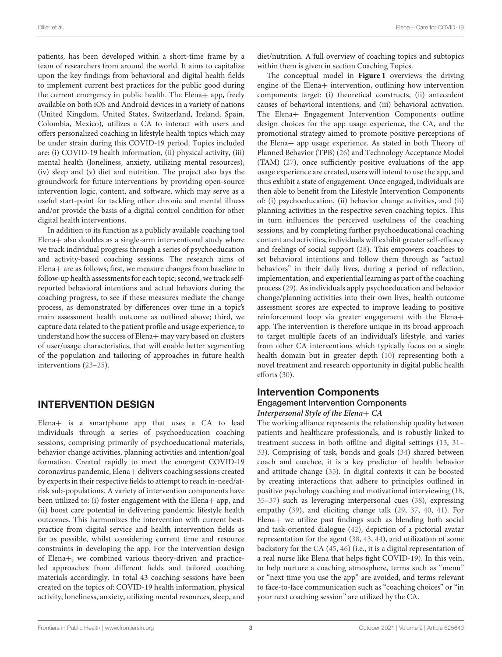patients, has been developed within a short-time frame by a team of researchers from around the world. It aims to capitalize upon the key findings from behavioral and digital health fields to implement current best practices for the public good during the current emergency in public health. The Elena+ app, freely available on both iOS and Android devices in a variety of nations (United Kingdom, United States, Switzerland, Ireland, Spain, Colombia, Mexico), utilizes a CA to interact with users and offers personalized coaching in lifestyle health topics which may be under strain during this COVID-19 period. Topics included are: (i) COVID-19 health information, (ii) physical activity, (iii) mental health (loneliness, anxiety, utilizing mental resources), (iv) sleep and (v) diet and nutrition. The project also lays the groundwork for future interventions by providing open-source intervention logic, content, and software, which may serve as a useful start-point for tackling other chronic and mental illness and/or provide the basis of a digital control condition for other digital health interventions.

In addition to its function as a publicly available coaching tool Elena+ also doubles as a single-arm interventional study where we track individual progress through a series of psychoeducation and activity-based coaching sessions. The research aims of Elena+ are as follows; first, we measure changes from baseline to follow-up health assessments for each topic; second, we track selfreported behavioral intentions and actual behaviors during the coaching progress, to see if these measures mediate the change process, as demonstrated by differences over time in a topic's main assessment health outcome as outlined above; third, we capture data related to the patient profile and usage experience, to understand how the success of Elena+ may vary based on clusters of user/usage characteristics, that will enable better segmenting of the population and tailoring of approaches in future health interventions [\(23](#page-14-19)[–25\)](#page-14-20).

## INTERVENTION DESIGN

Elena+ is a smartphone app that uses a CA to lead individuals through a series of psychoeducation coaching sessions, comprising primarily of psychoeducational materials, behavior change activities, planning activities and intention/goal formation. Created rapidly to meet the emergent COVID-19 coronavirus pandemic, Elena+ delivers coaching sessions created by experts in their respective fields to attempt to reach in-need/atrisk sub-populations. A variety of intervention components have been utilized to: (i) foster engagement with the Elena+ app, and (ii) boost care potential in delivering pandemic lifestyle health outcomes. This harmonizes the intervention with current bestpractice from digital service and health intervention fields as far as possible, whilst considering current time and resource constraints in developing the app. For the intervention design of Elena+, we combined various theory-driven and practiceled approaches from different fields and tailored coaching materials accordingly. In total 43 coaching sessions have been created on the topics of: COVID-19 health information, physical activity, loneliness, anxiety, utilizing mental resources, sleep, and diet/nutrition. A full overview of coaching topics and subtopics within them is given in section Coaching Topics.

The conceptual model in **[Figure 1](#page-5-0)** overviews the driving engine of the Elena+ intervention, outlining how intervention components target: (i) theoretical constructs, (ii) antecedent causes of behavioral intentions, and (iii) behavioral activation. The Elena+ Engagement Intervention Components outline design choices for the app usage experience, the CA, and the promotional strategy aimed to promote positive perceptions of the Elena+ app usage experience. As stated in both Theory of Planned Behavior (TPB) [\(26\)](#page-15-0) and Technology Acceptance Model (TAM) [\(27\)](#page-15-1), once sufficiently positive evaluations of the app usage experience are created, users will intend to use the app, and thus exhibit a state of engagement. Once engaged, individuals are then able to benefit from the Lifestyle Intervention Components of: (i) psychoeducation, (ii) behavior change activities, and (ii) planning activities in the respective seven coaching topics. This in turn influences the perceived usefulness of the coaching sessions, and by completing further psychoeducational coaching content and activities, individuals will exhibit greater self-efficacy and feelings of social support [\(28\)](#page-15-2). This empowers coachees to set behavioral intentions and follow them through as "actual behaviors" in their daily lives, during a period of reflection, implementation, and experiential learning as part of the coaching process [\(29\)](#page-15-3). As individuals apply psychoeducation and behavior change/planning activities into their own lives, health outcome assessment scores are expected to improve leading to positive reinforcement loop via greater engagement with the Elena+ app. The intervention is therefore unique in its broad approach to target multiple facets of an individual's lifestyle, and varies from other CA interventions which typically focus on a single health domain but in greater depth [\(10\)](#page-14-8) representing both a novel treatment and research opportunity in digital public health efforts [\(30\)](#page-15-4).

# Intervention Components Engagement Intervention Components

**Interpersonal Style of the Elena**+ **CA** The working alliance represents the relationship quality between patients and healthcare professionals, and is robustly linked to treatment success in both offline and digital settings [\(13,](#page-14-10) [31–](#page-15-5) [33\)](#page-15-6). Comprising of task, bonds and goals [\(34\)](#page-15-7) shared between coach and coachee, it is a key predictor of health behavior and attitude change [\(35\)](#page-15-8). In digital contexts it can be boosted by creating interactions that adhere to principles outlined in positive psychology coaching and motivational interviewing [\(18,](#page-14-21) [35](#page-15-8)[–37\)](#page-15-9) such as leveraging interpersonal cues [\(38\)](#page-15-10), expressing empathy [\(39\)](#page-15-11), and eliciting change talk [\(29,](#page-15-3) [37,](#page-15-9) [40,](#page-15-12) [41\)](#page-15-13). For Elena+ we utilize past findings such as blending both social and task-oriented dialogue [\(42\)](#page-15-14), depiction of a pictorial avatar representation for the agent [\(38,](#page-15-10) [43,](#page-15-15) [44\)](#page-15-16), and utilization of some backstory for the CA [\(45,](#page-15-17) [46\)](#page-15-18) (i.e., it is a digital representation of a real nurse like Elena that helps fight COVID-19). In this vein, to help nurture a coaching atmosphere, terms such as "menu" or "next time you use the app" are avoided, and terms relevant to face-to-face communication such as "coaching choices" or "in your next coaching session" are utilized by the CA.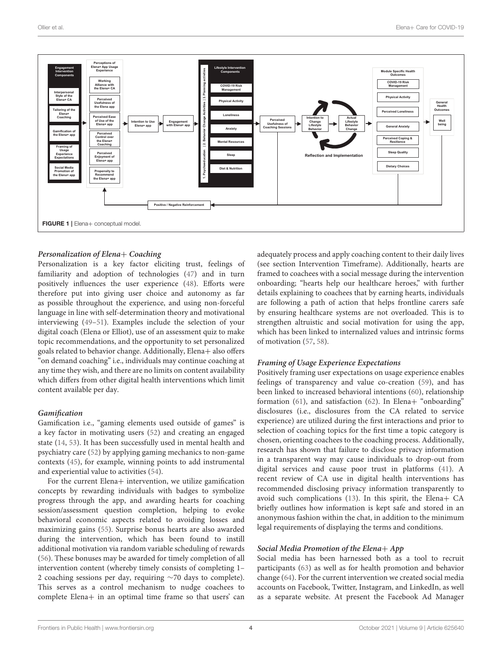

#### <span id="page-5-0"></span>**Personalization of Elena**+ **Coaching**

Personalization is a key factor eliciting trust, feelings of familiarity and adoption of technologies [\(47\)](#page-15-19) and in turn positively influences the user experience [\(48\)](#page-15-20). Efforts were therefore put into giving user choice and autonomy as far as possible throughout the experience, and using non-forceful language in line with self-determination theory and motivational interviewing [\(49](#page-15-21)[–51\)](#page-15-22). Examples include the selection of your digital coach (Elena or Elliot), use of an assessment quiz to make topic recommendations, and the opportunity to set personalized goals related to behavior change. Additionally, Elena+ also offers "on demand coaching" i.e., individuals may continue coaching at any time they wish, and there are no limits on content availability which differs from other digital health interventions which limit content available per day.

#### **Gamification**

Gamification i.e., "gaming elements used outside of games" is a key factor in motivating users [\(52\)](#page-15-23) and creating an engaged state [\(14,](#page-14-11) [53\)](#page-15-24). It has been successfully used in mental health and psychiatry care [\(52\)](#page-15-23) by applying gaming mechanics to non-game contexts [\(45\)](#page-15-17), for example, winning points to add instrumental and experiential value to activities [\(54\)](#page-15-25).

For the current Elena+ intervention, we utilize gamification concepts by rewarding individuals with badges to symbolize progress through the app, and awarding hearts for coaching session/assessment question completion, helping to evoke behavioral economic aspects related to avoiding losses and maximizing gains [\(55\)](#page-15-26). Surprise bonus hearts are also awarded during the intervention, which has been found to instill additional motivation via random variable scheduling of rewards [\(56\)](#page-15-27). These bonuses may be awarded for timely completion of all intervention content (whereby timely consists of completing 1– 2 coaching sessions per day, requiring ∼70 days to complete). This serves as a control mechanism to nudge coachees to complete Elena+ in an optimal time frame so that users' can adequately process and apply coaching content to their daily lives (see section Intervention Timeframe). Additionally, hearts are framed to coachees with a social message during the intervention onboarding; "hearts help our healthcare heroes," with further details explaining to coachees that by earning hearts, individuals are following a path of action that helps frontline carers safe by ensuring healthcare systems are not overloaded. This is to strengthen altruistic and social motivation for using the app, which has been linked to internalized values and intrinsic forms of motivation [\(57,](#page-15-28) [58\)](#page-15-29).

#### **Framing of Usage Experience Expectations**

Positively framing user expectations on usage experience enables feelings of transparency and value co-creation [\(59\)](#page-15-30), and has been linked to increased behavioral intentions [\(60\)](#page-15-31), relationship formation [\(61\)](#page-15-32), and satisfaction [\(62\)](#page-15-33). In Elena+ "onboarding" disclosures (i.e., disclosures from the CA related to service experience) are utilized during the first interactions and prior to selection of coaching topics for the first time a topic category is chosen, orienting coachees to the coaching process. Additionally, research has shown that failure to disclose privacy information in a transparent way may cause individuals to drop-out from digital services and cause poor trust in platforms [\(41\)](#page-15-13). A recent review of CA use in digital health interventions has recommended disclosing privacy information transparently to avoid such complications [\(13\)](#page-14-10). In this spirit, the Elena+ CA briefly outlines how information is kept safe and stored in an anonymous fashion within the chat, in addition to the minimum legal requirements of displaying the terms and conditions.

#### **Social Media Promotion of the Elena**+ **App**

Social media has been harnessed both as a tool to recruit participants [\(63\)](#page-15-34) as well as for health promotion and behavior change [\(64\)](#page-15-35). For the current intervention we created social media accounts on Facebook, Twitter, Instagram, and LinkedIn, as well as a separate website. At present the Facebook Ad Manager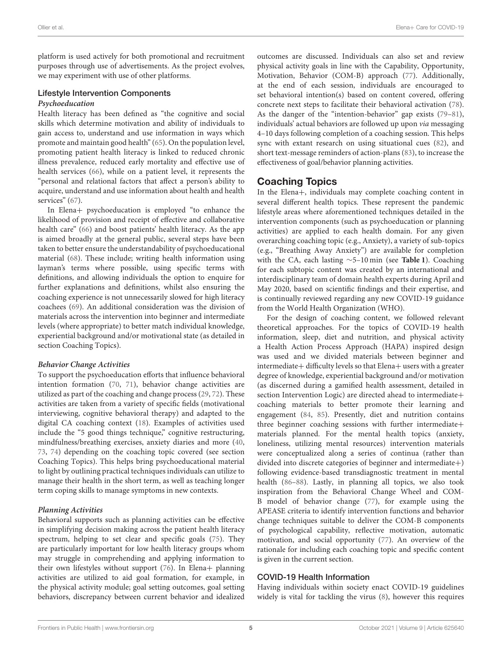platform is used actively for both promotional and recruitment purposes through use of advertisements. As the project evolves, we may experiment with use of other platforms.

### Lifestyle Intervention Components **Psychoeducation**

Health literacy has been defined as "the cognitive and social skills which determine motivation and ability of individuals to gain access to, understand and use information in ways which promote and maintain good health" [\(65\)](#page-15-36). On the population level, promoting patient health literacy is linked to reduced chronic illness prevalence, reduced early mortality and effective use of health services [\(66\)](#page-15-37), while on a patient level, it represents the "personal and relational factors that affect a person's ability to acquire, understand and use information about health and health services" [\(67\)](#page-15-38).

In Elena+ psychoeducation is employed "to enhance the likelihood of provision and receipt of effective and collaborative health care" [\(66\)](#page-15-37) and boost patients' health literacy. As the app is aimed broadly at the general public, several steps have been taken to better ensure the understandability of psychoeducational material [\(68\)](#page-15-39). These include; writing health information using layman's terms where possible, using specific terms with definitions, and allowing individuals the option to enquire for further explanations and definitions, whilst also ensuring the coaching experience is not unnecessarily slowed for high literacy coachees [\(69\)](#page-15-40). An additional consideration was the division of materials across the intervention into beginner and intermediate levels (where appropriate) to better match individual knowledge, experiential background and/or motivational state (as detailed in section Coaching Topics).

#### **Behavior Change Activities**

To support the psychoeducation efforts that influence behavioral intention formation [\(70,](#page-16-0) [71\)](#page-16-1), behavior change activities are utilized as part of the coaching and change process [\(29,](#page-15-3) [72\)](#page-16-2). These activities are taken from a variety of specific fields (motivational interviewing, cognitive behavioral therapy) and adapted to the digital CA coaching context [\(18\)](#page-14-21). Examples of activities used include the "5 good things technique," cognitive restructuring, mindfulness/breathing exercises, anxiety diaries and more [\(40,](#page-15-12) [73,](#page-16-3) [74\)](#page-16-4) depending on the coaching topic covered (see section Coaching Topics). This helps bring psychoeducational material to light by outlining practical techniques individuals can utilize to manage their health in the short term, as well as teaching longer term coping skills to manage symptoms in new contexts.

#### **Planning Activities**

Behavioral supports such as planning activities can be effective in simplifying decision making across the patient health literacy spectrum, helping to set clear and specific goals [\(75\)](#page-16-5). They are particularly important for low health literacy groups whom may struggle in comprehending and applying information to their own lifestyles without support [\(76\)](#page-16-6). In Elena+ planning activities are utilized to aid goal formation, for example, in the physical activity module; goal setting outcomes, goal setting behaviors, discrepancy between current behavior and idealized outcomes are discussed. Individuals can also set and review physical activity goals in line with the Capability, Opportunity, Motivation, Behavior (COM-B) approach [\(77\)](#page-16-7). Additionally, at the end of each session, individuals are encouraged to set behavioral intention(s) based on content covered, offering concrete next steps to facilitate their behavioral activation [\(78\)](#page-16-8). As the danger of the "intention-behavior" gap exists [\(79–](#page-16-9)[81\)](#page-16-10), individuals' actual behaviors are followed up upon via messaging 4–10 days following completion of a coaching session. This helps sync with extant research on using situational cues [\(82\)](#page-16-11), and short text-message reminders of action-plans [\(83\)](#page-16-12), to increase the effectiveness of goal/behavior planning activities.

## Coaching Topics

In the Elena+, individuals may complete coaching content in several different health topics. These represent the pandemic lifestyle areas where aforementioned techniques detailed in the intervention components (such as psychoeducation or planning activities) are applied to each health domain. For any given overarching coaching topic (e.g., Anxiety), a variety of sub-topics (e.g., "Breathing Away Anxiety") are available for completion with the CA, each lasting ∼5–10 min (see **[Table 1](#page-7-0)**). Coaching for each subtopic content was created by an international and interdisciplinary team of domain health experts during April and May 2020, based on scientific findings and their expertise, and is continually reviewed regarding any new COVID-19 guidance from the World Health Organization (WHO).

For the design of coaching content, we followed relevant theoretical approaches. For the topics of COVID-19 health information, sleep, diet and nutrition, and physical activity a Health Action Process Approach (HAPA) inspired design was used and we divided materials between beginner and intermediate+ difficulty levels so that Elena+ users with a greater degree of knowledge, experiential background and/or motivation (as discerned during a gamified health assessment, detailed in section Intervention Logic) are directed ahead to intermediate+ coaching materials to better promote their learning and engagement [\(84,](#page-16-13) [85\)](#page-16-14). Presently, diet and nutrition contains three beginner coaching sessions with further intermediate+ materials planned. For the mental health topics (anxiety, loneliness, utilizing mental resources) intervention materials were conceptualized along a series of continua (rather than divided into discrete categories of beginner and intermediate+) following evidence-based transdiagnostic treatment in mental health [\(86](#page-16-15)[–88\)](#page-16-16). Lastly, in planning all topics, we also took inspiration from the Behavioral Change Wheel and COM-B model of behavior change [\(77\)](#page-16-7), for example using the APEASE criteria to identify intervention functions and behavior change techniques suitable to deliver the COM-B components of psychological capability, reflective motivation, automatic motivation, and social opportunity [\(77\)](#page-16-7). An overview of the rationale for including each coaching topic and specific content is given in the current section.

#### COVID-19 Health Information

Having individuals within society enact COVID-19 guidelines widely is vital for tackling the virus [\(8\)](#page-14-6), however this requires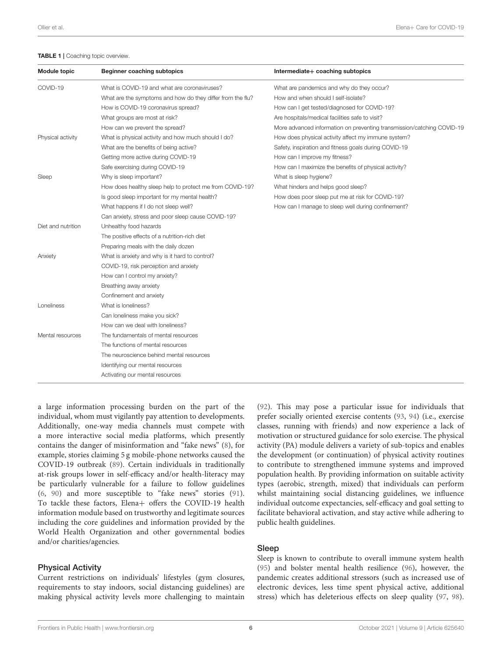#### <span id="page-7-0"></span>TABLE 1 | Coaching topic overview.

| <b>Module topic</b> | <b>Beginner coaching subtopics</b>                         | Intermediate+ coaching subtopics                                       |
|---------------------|------------------------------------------------------------|------------------------------------------------------------------------|
| COVID-19            | What is COVID-19 and what are coronaviruses?               | What are pandemics and why do they occur?                              |
|                     | What are the symptoms and how do they differ from the flu? | How and when should I self-isolate?                                    |
|                     | How is COVID-19 coronavirus spread?                        | How can I get tested/diagnosed for COVID-19?                           |
|                     | What groups are most at risk?                              | Are hospitals/medical facilities safe to visit?                        |
|                     | How can we prevent the spread?                             | More advanced information on preventing transmission/catching COVID-19 |
| Physical activity   | What is physical activity and how much should I do?        | How does physical activity affect my immune system?                    |
|                     | What are the benefits of being active?                     | Safety, inspiration and fitness goals during COVID-19                  |
|                     | Getting more active during COVID-19                        | How can I improve my fitness?                                          |
|                     | Safe exercising during COVID-19                            | How can I maximize the benefits of physical activity?                  |
| Sleep               | Why is sleep important?                                    | What is sleep hygiene?                                                 |
|                     | How does healthy sleep help to protect me from COVID-19?   | What hinders and helps good sleep?                                     |
|                     | Is good sleep important for my mental health?              | How does poor sleep put me at risk for COVID-19?                       |
|                     | What happens if I do not sleep well?                       | How can I manage to sleep well during confinement?                     |
|                     | Can anxiety, stress and poor sleep cause COVID-19?         |                                                                        |
| Diet and nutrition  | Unhealthy food hazards                                     |                                                                        |
|                     | The positive effects of a nutrition-rich diet              |                                                                        |
|                     | Preparing meals with the daily dozen                       |                                                                        |
| Anxiety             | What is anxiety and why is it hard to control?             |                                                                        |
|                     | COVID-19, risk perception and anxiety                      |                                                                        |
|                     | How can I control my anxiety?                              |                                                                        |
|                     | Breathing away anxiety                                     |                                                                        |
|                     | Confinement and anxiety                                    |                                                                        |
| Loneliness          | What is loneliness?                                        |                                                                        |
|                     | Can loneliness make you sick?                              |                                                                        |
|                     | How can we deal with loneliness?                           |                                                                        |
| Mental resources    | The fundamentals of mental resources                       |                                                                        |
|                     | The functions of mental resources                          |                                                                        |
|                     | The neuroscience behind mental resources                   |                                                                        |
|                     | Identifying our mental resources                           |                                                                        |
|                     | Activating our mental resources                            |                                                                        |
|                     |                                                            |                                                                        |

a large information processing burden on the part of the individual, whom must vigilantly pay attention to developments. Additionally, one-way media channels must compete with a more interactive social media platforms, which presently contains the danger of misinformation and "fake news" [\(8\)](#page-14-6), for example, stories claiming 5 g mobile-phone networks caused the COVID-19 outbreak [\(89\)](#page-16-17). Certain individuals in traditionally at-risk groups lower in self-efficacy and/or health-literacy may be particularly vulnerable for a failure to follow guidelines [\(6,](#page-14-4) [90\)](#page-16-18) and more susceptible to "fake news" stories [\(91\)](#page-16-19). To tackle these factors, Elena+ offers the COVID-19 health information module based on trustworthy and legitimate sources including the core guidelines and information provided by the World Health Organization and other governmental bodies and/or charities/agencies.

#### Physical Activity

Current restrictions on individuals' lifestyles (gym closures, requirements to stay indoors, social distancing guidelines) are making physical activity levels more challenging to maintain [\(92\)](#page-16-20). This may pose a particular issue for individuals that prefer socially oriented exercise contents [\(93,](#page-16-21) [94\)](#page-16-22) (i.e., exercise classes, running with friends) and now experience a lack of motivation or structured guidance for solo exercise. The physical activity (PA) module delivers a variety of sub-topics and enables the development (or continuation) of physical activity routines to contribute to strengthened immune systems and improved population health. By providing information on suitable activity types (aerobic, strength, mixed) that individuals can perform whilst maintaining social distancing guidelines, we influence individual outcome expectancies, self-efficacy and goal setting to facilitate behavioral activation, and stay active while adhering to public health guidelines.

#### Sleep

Sleep is known to contribute to overall immune system health [\(95\)](#page-16-23) and bolster mental health resilience [\(96\)](#page-16-24), however, the pandemic creates additional stressors (such as increased use of electronic devices, less time spent physical active, additional stress) which has deleterious effects on sleep quality [\(97,](#page-16-25) [98\)](#page-16-26).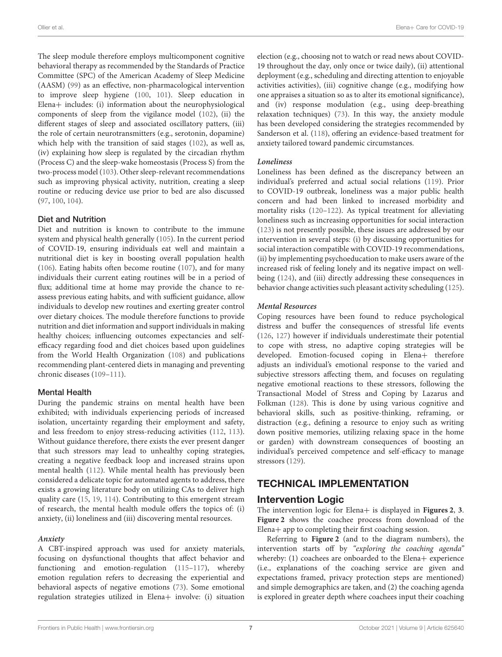The sleep module therefore employs multicomponent cognitive behavioral therapy as recommended by the Standards of Practice Committee (SPC) of the American Academy of Sleep Medicine (AASM) [\(99\)](#page-16-27) as an effective, non-pharmacological intervention to improve sleep hygiene [\(100,](#page-16-28) [101\)](#page-16-29). Sleep education in Elena+ includes: (i) information about the neurophysiological components of sleep from the vigilance model [\(102\)](#page-16-30), (ii) the different stages of sleep and associated oscillatory patters, (iii) the role of certain neurotransmitters (e.g., serotonin, dopamine) which help with the transition of said stages [\(102\)](#page-16-30), as well as, (iv) explaining how sleep is regulated by the circadian rhythm (Process C) and the sleep-wake homeostasis (Process S) from the two-process model [\(103\)](#page-16-31). Other sleep-relevant recommendations such as improving physical activity, nutrition, creating a sleep routine or reducing device use prior to bed are also discussed [\(97,](#page-16-25) [100,](#page-16-28) [104\)](#page-16-32).

#### Diet and Nutrition

Diet and nutrition is known to contribute to the immune system and physical health generally [\(105\)](#page-16-33). In the current period of COVID-19, ensuring individuals eat well and maintain a nutritional diet is key in boosting overall population health [\(106\)](#page-16-34). Eating habits often become routine [\(107\)](#page-16-35), and for many individuals their current eating routines will be in a period of flux; additional time at home may provide the chance to reassess previous eating habits, and with sufficient guidance, allow individuals to develop new routines and exerting greater control over dietary choices. The module therefore functions to provide nutrition and diet information and support individuals in making healthy choices; influencing outcomes expectancies and selfefficacy regarding food and diet choices based upon guidelines from the World Health Organization [\(108\)](#page-16-36) and publications recommending plant-centered diets in managing and preventing chronic diseases [\(109](#page-16-37)[–111\)](#page-16-38).

### Mental Health

During the pandemic strains on mental health have been exhibited; with individuals experiencing periods of increased isolation, uncertainty regarding their employment and safety, and less freedom to enjoy stress-reducing activities [\(112,](#page-16-39) [113\)](#page-16-40). Without guidance therefore, there exists the ever present danger that such stressors may lead to unhealthy coping strategies, creating a negative feedback loop and increased strains upon mental health [\(112\)](#page-16-39). While mental health has previously been considered a delicate topic for automated agents to address, there exists a growing literature body on utilizing CAs to deliver high quality care [\(15,](#page-14-12) [19,](#page-14-15) [114\)](#page-17-0). Contributing to this emergent stream of research, the mental health module offers the topics of: (i) anxiety, (ii) loneliness and (iii) discovering mental resources.

### **Anxiety**

A CBT-inspired approach was used for anxiety materials, focusing on dysfunctional thoughts that affect behavior and functioning and emotion-regulation [\(115](#page-17-1)[–117\)](#page-17-2), whereby emotion regulation refers to decreasing the experiential and behavioral aspects of negative emotions [\(73\)](#page-16-3). Some emotional regulation strategies utilized in Elena+ involve: (i) situation election (e.g., choosing not to watch or read news about COVID-19 throughout the day, only once or twice daily), (ii) attentional deployment (e.g., scheduling and directing attention to enjoyable activities activities), (iii) cognitive change (e.g., modifying how one appraises a situation so as to alter its emotional significance), and (iv) response modulation (e.g., using deep-breathing relaxation techniques) [\(73\)](#page-16-3). In this way, the anxiety module has been developed considering the strategies recommended by Sanderson et al. [\(118\)](#page-17-3), offering an evidence-based treatment for anxiety tailored toward pandemic circumstances.

### **Loneliness**

Loneliness has been defined as the discrepancy between an individual's preferred and actual social relations [\(119\)](#page-17-4). Prior to COVID-19 outbreak, loneliness was a major public health concern and had been linked to increased morbidity and mortality risks [\(120](#page-17-5)[–122\)](#page-17-6). As typical treatment for alleviating loneliness such as increasing opportunities for social interaction [\(123\)](#page-17-7) is not presently possible, these issues are addressed by our intervention in several steps: (i) by discussing opportunities for social interaction compatible with COVID-19 recommendations, (ii) by implementing psychoeducation to make users aware of the increased risk of feeling lonely and its negative impact on wellbeing [\(124\)](#page-17-8), and (iii) directly addressing these consequences in behavior change activities such pleasant activity scheduling [\(125\)](#page-17-9).

#### **Mental Resources**

Coping resources have been found to reduce psychological distress and buffer the consequences of stressful life events [\(126,](#page-17-10) [127\)](#page-17-11) however if individuals underestimate their potential to cope with stress, no adaptive coping strategies will be developed. Emotion-focused coping in Elena+ therefore adjusts an individual's emotional response to the varied and subjective stressors affecting them, and focuses on regulating negative emotional reactions to these stressors, following the Transactional Model of Stress and Coping by Lazarus and Folkman [\(128\)](#page-17-12). This is done by using various cognitive and behavioral skills, such as positive-thinking, reframing, or distraction (e.g., defining a resource to enjoy such as writing down positive memories, utilizing relaxing space in the home or garden) with downstream consequences of boosting an individual's perceived competence and self-efficacy to manage stressors [\(129\)](#page-17-13).

# TECHNICAL IMPLEMENTATION

## Intervention Logic

The intervention logic for Elena+ is displayed in **[Figures 2](#page-9-0)**, **[3](#page-9-1)**. **[Figure 2](#page-9-0)** shows the coachee process from download of the Elena+ app to completing their first coaching session.

Referring to **[Figure 2](#page-9-0)** (and to the diagram numbers), the intervention starts off by "exploring the coaching agenda" whereby: (1) coachees are onboarded to the Elena+ experience (i.e., explanations of the coaching service are given and expectations framed, privacy protection steps are mentioned) and simple demographics are taken, and (2) the coaching agenda is explored in greater depth where coachees input their coaching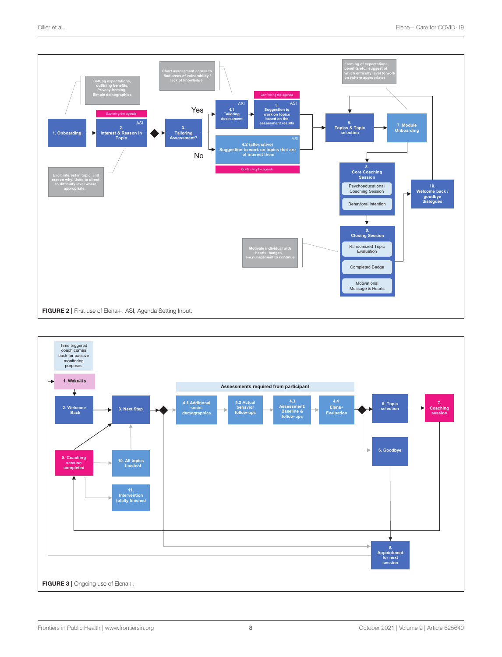

<span id="page-9-1"></span><span id="page-9-0"></span>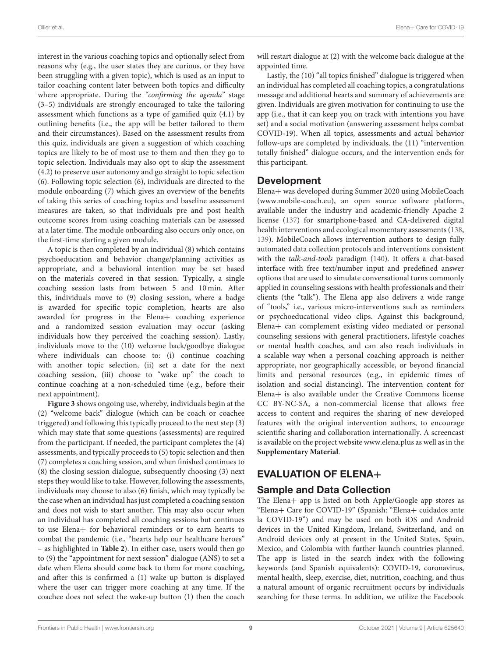interest in the various coaching topics and optionally select from reasons why (e.g., the user states they are curious, or they have been struggling with a given topic), which is used as an input to tailor coaching content later between both topics and difficulty where appropriate. During the "confirming the agenda" stage (3–5) individuals are strongly encouraged to take the tailoring assessment which functions as a type of gamified quiz (4.1) by outlining benefits (i.e., the app will be better tailored to them and their circumstances). Based on the assessment results from this quiz, individuals are given a suggestion of which coaching topics are likely to be of most use to them and then they go to topic selection. Individuals may also opt to skip the assessment (4.2) to preserve user autonomy and go straight to topic selection (6). Following topic selection (6), individuals are directed to the module onboarding (7) which gives an overview of the benefits of taking this series of coaching topics and baseline assessment measures are taken, so that individuals pre and post health outcome scores from using coaching materials can be assessed at a later time. The module onboarding also occurs only once, on the first-time starting a given module.

A topic is then completed by an individual (8) which contains psychoeducation and behavior change/planning activities as appropriate, and a behavioral intention may be set based on the materials covered in that session. Typically, a single coaching session lasts from between 5 and 10 min. After this, individuals move to (9) closing session, where a badge is awarded for specific topic completion, hearts are also awarded for progress in the Elena+ coaching experience and a randomized session evaluation may occur (asking individuals how they perceived the coaching session). Lastly, individuals move to the (10) welcome back/goodbye dialogue where individuals can choose to: (i) continue coaching with another topic selection, (ii) set a date for the next coaching session, (iii) choose to "wake up" the coach to continue coaching at a non-scheduled time (e.g., before their next appointment).

**[Figure 3](#page-9-1)** shows ongoing use, whereby, individuals begin at the (2) "welcome back" dialogue (which can be coach or coachee triggered) and following this typically proceed to the next step (3) which may state that some questions (assessments) are required from the participant. If needed, the participant completes the (4) assessments, and typically proceeds to (5) topic selection and then (7) completes a coaching session, and when finished continues to (8) the closing session dialogue, subsequently choosing (3) next steps they would like to take. However, following the assessments, individuals may choose to also (6) finish, which may typically be the case when an individual has just completed a coaching session and does not wish to start another. This may also occur when an individual has completed all coaching sessions but continues to use Elena+ for behavioral reminders or to earn hearts to combat the pandemic (i.e., "hearts help our healthcare heroes" – as highlighted in **[Table 2](#page-11-0)**). In either case, users would then go to (9) the "appointment for next session" dialogue (ANS) to set a date when Elena should come back to them for more coaching, and after this is confirmed a (1) wake up button is displayed where the user can trigger more coaching at any time. If the coachee does not select the wake-up button (1) then the coach will restart dialogue at (2) with the welcome back dialogue at the appointed time.

Lastly, the (10) "all topics finished" dialogue is triggered when an individual has completed all coaching topics, a congratulations message and additional hearts and summary of achievements are given. Individuals are given motivation for continuing to use the app (i.e., that it can keep you on track with intentions you have set) and a social motivation (answering assessment helps combat COVID-19). When all topics, assessments and actual behavior follow-ups are completed by individuals, the (11) "intervention totally finished" dialogue occurs, and the intervention ends for this participant.

## Development

Elena+ was developed during Summer 2020 using MobileCoach [\(www.mobile-coach.eu\)](http://www.mobile-coach.eu), an open source software platform, available under the industry and academic-friendly Apache 2 license [\(137\)](#page-17-14) for smartphone-based and CA-delivered digital health interventions and ecological momentary assessments [\(138,](#page-17-15) [139\)](#page-17-16). MobileCoach allows intervention authors to design fully automated data collection protocols and interventions consistent with the talk-and-tools paradigm [\(140\)](#page-17-17). It offers a chat-based interface with free text/number input and predefined answer options that are used to simulate conversational turns commonly applied in counseling sessions with health professionals and their clients (the "talk"). The Elena app also delivers a wide range of "tools," i.e., various micro-interventions such as reminders or psychoeducational video clips. Against this background, Elena+ can complement existing video mediated or personal counseling sessions with general practitioners, lifestyle coaches or mental health coaches, and can also reach individuals in a scalable way when a personal coaching approach is neither appropriate, nor geographically accessible, or beyond financial limits and personal resources (e.g., in epidemic times of isolation and social distancing). The intervention content for Elena+ is also available under the Creative Commons license CC BY-NC-SA, a non-commercial license that allows free access to content and requires the sharing of new developed features with the original intervention authors, to encourage scientific sharing and collaboration internationally. A screencast is available on the project website [www.elena.plus](http://www.elena.plus) as well as in the **[Supplementary Material](#page-14-22)**.

# EVALUATION OF ELENA+

## Sample and Data Collection

The Elena+ app is listed on both Apple/Google app stores as "Elena+ Care for COVID-19" (Spanish: "Elena+ cuidados ante la COVID-19") and may be used on both iOS and Android devices in the United Kingdom, Ireland, Switzerland, and on Android devices only at present in the United States, Spain, Mexico, and Colombia with further launch countries planned. The app is listed in the search index with the following keywords (and Spanish equivalents): COVID-19, coronavirus, mental health, sleep, exercise, diet, nutrition, coaching, and thus a natural amount of organic recruitment occurs by individuals searching for these terms. In addition, we utilize the Facebook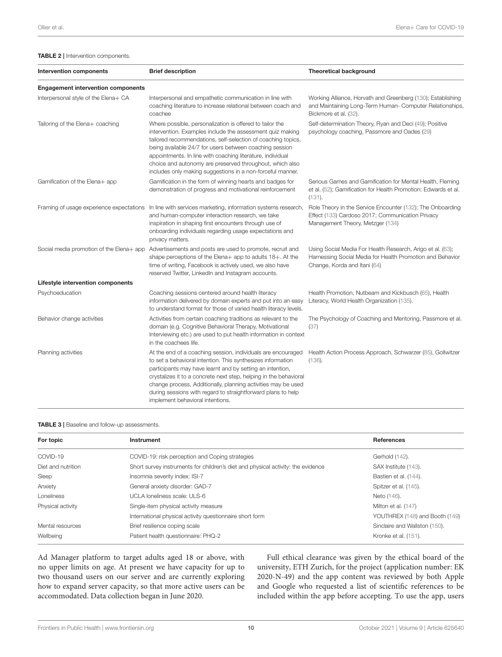#### <span id="page-11-0"></span>TABLE 2 | Intervention components.

| <b>Intervention components</b>            | <b>Brief description</b>                                                                                                                                                                                                                                                                                                                                                                                                                 | <b>Theoretical background</b>                                                                                                                           |
|-------------------------------------------|------------------------------------------------------------------------------------------------------------------------------------------------------------------------------------------------------------------------------------------------------------------------------------------------------------------------------------------------------------------------------------------------------------------------------------------|---------------------------------------------------------------------------------------------------------------------------------------------------------|
| <b>Engagement intervention components</b> |                                                                                                                                                                                                                                                                                                                                                                                                                                          |                                                                                                                                                         |
| Interpersonal style of the Elena+ CA      | Interpersonal and empathetic communication in line with<br>coaching literature to increase relational between coach and<br>coachee                                                                                                                                                                                                                                                                                                       | Working Alliance, Horvath and Greenberg (130); Establishing<br>and Maintaining Long-Term Human- Computer Relationships,<br>Bickmore et al. (32).        |
| Tailoring of the Elena+ coaching          | Where possible, personalization is offered to tailor the<br>intervention. Examples include the assessment quiz making<br>tailored recommendations, self-selection of coaching topics,<br>being available 24/7 for users between coaching session<br>appointments. In line with coaching literature, individual<br>choice and autonomy are preserved throughout, which also<br>includes only making suggestions in a non-forceful manner. | Self-determination Theory, Ryan and Deci (49); Positive<br>psychology coaching, Passmore and Oades (29)                                                 |
| Gamification of the Elena+ app            | Gamification in the form of winning hearts and badges for<br>demonstration of progress and motivational reinforcement                                                                                                                                                                                                                                                                                                                    | Serious Games and Gamification for Mental Health, Fleming<br>et al. (52); Gamification for Health Promotion: Edwards et al.<br>(131).                   |
| Framing of usage experience expectations  | In line with services marketing, information systems research,<br>and human-computer interaction research, we take<br>inspiration in shaping first encounters through use of<br>onboarding individuals regarding usage expectations and<br>privacy matters.                                                                                                                                                                              | Role Theory in the Service Encounter (132); The Onboarding<br>Effect (133) Cardoso 2017; Communication Privacy<br>Management Theory, Metzger (134)      |
| Social media promotion of the Elena+ app  | Advertisements and posts are used to promote, recruit and<br>shape perceptions of the Elena+ app to adults 18+. At the<br>time of writing, Facebook is actively used, we also have<br>reserved Twitter, LinkedIn and Instagram accounts.                                                                                                                                                                                                 | Using Social Media For Health Research, Arigo et al. (63);<br>Harnessing Social Media for Health Promotion and Behavior<br>Change, Korda and Itani (64) |
| Lifestyle intervention components         |                                                                                                                                                                                                                                                                                                                                                                                                                                          |                                                                                                                                                         |
| Psychoeducation                           | Coaching sessions centered around health literacy<br>information delivered by domain experts and put into an easy<br>to understand format for those of varied health literacy levels.                                                                                                                                                                                                                                                    | Health Promotion, Nutbeam and Kickbusch (65), Health<br>Literacy, World Health Organization (135).                                                      |
| Behavior change activities                | Activities from certain coaching traditions as relevant to the<br>domain (e.g. Cognitive Behavioral Therapy, Motivational<br>Interviewing etc.) are used to put health information in context<br>in the coachees life.                                                                                                                                                                                                                   | The Psychology of Coaching and Mentoring, Passmore et al.<br>(37)                                                                                       |
| Planning activities                       | At the end of a coaching session, individuals are encouraged<br>to set a behavioral intention. This synthesizes information<br>participants may have learnt and by setting an intention,<br>crystalizes it to a concrete next step, helping in the behavioral<br>change process. Additionally, planning activities may be used<br>during sessions with regard to straightforward plans to help<br>implement behavioral intentions.       | Health Action Process Approach, Schwarzer (85), Gollwitzer<br>(136).                                                                                    |

#### <span id="page-11-1"></span>TABLE 3 | Baseline and follow-up assessments.

| For topic          | <b>Instrument</b>                                                                                        | <b>References</b>              |  |  |
|--------------------|----------------------------------------------------------------------------------------------------------|--------------------------------|--|--|
| COVID-19           | COVID-19: risk perception and Coping strategies                                                          | Gerhold (142).                 |  |  |
| Diet and nutrition | Short survey instruments for children's diet and physical activity: the evidence<br>SAX Institute (143). |                                |  |  |
| Sleep              | Insomnia severity index: ISI-7                                                                           | Bastien et al. (144).          |  |  |
| Anxiety            | General anxiety disorder: GAD-7                                                                          | Spitzer et al. (145).          |  |  |
| Loneliness         | UCLA loneliness scale: ULS-6                                                                             | Neto (146).                    |  |  |
| Physical activity  | Single-item physical activity measure                                                                    | Milton et al. (147)            |  |  |
|                    | International physical activity questionnaire short form                                                 | YOUTHREX (148) and Booth (149) |  |  |
| Mental resources   | Sinclaire and Wallston (150).<br>Brief resilience coping scale                                           |                                |  |  |
| Wellbeing          | Patient health questionnaire: PHQ-2<br>Kronke et al. (151).                                              |                                |  |  |

Ad Manager platform to target adults aged 18 or above, with no upper limits on age. At present we have capacity for up to two thousand users on our server and are currently exploring how to expand server capacity, so that more active users can be accommodated. Data collection began in June 2020.

Full ethical clearance was given by the ethical board of the university, ETH Zurich, for the project (application number: EK 2020-N-49) and the app content was reviewed by both Apple and Google who requested a list of scientific references to be included within the app before accepting. To use the app, users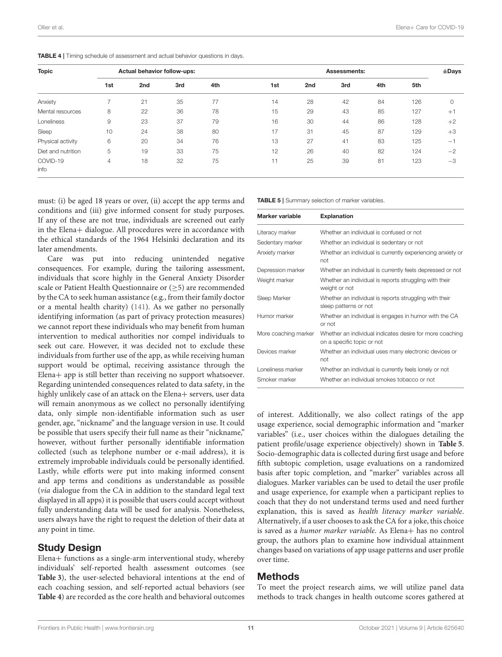| <b>Topic</b>       | Actual behavior follow-ups: |     |     |     | <b>Assessments:</b> |     |     |     |     |             |
|--------------------|-----------------------------|-----|-----|-----|---------------------|-----|-----|-----|-----|-------------|
|                    | 1st                         | 2nd | 3rd | 4th | 1st                 | 2nd | 3rd | 4th | 5th |             |
| Anxiety            |                             | 21  | 35  | 77  | 14                  | 28  | 42  | 84  | 126 | $\mathbf 0$ |
| Mental resources   | 8                           | 22  | 36  | 78  | 15                  | 29  | 43  | 85  | 127 | $+1$        |
| Loneliness         | 9                           | 23  | 37  | 79  | 16                  | 30  | 44  | 86  | 128 | $+2$        |
| Sleep              | 10                          | 24  | 38  | 80  | 17                  | 31  | 45  | 87  | 129 | $+3$        |
| Physical activity  | 6                           | 20  | 34  | 76  | 13                  | 27  | 41  | 83  | 125 | $-1$        |
| Diet and nutrition | 5                           | 19  | 33  | 75  | 12                  | 26  | 40  | 82  | 124 | $-2$        |
| COVID-19<br>info   | $\overline{4}$              | 18  | 32  | 75  | 11                  | 25  | 39  | 81  | 123 | $-3$        |

<span id="page-12-0"></span>TABLE 4 | Timing schedule of assessment and actual behavior questions in days.

must: (i) be aged 18 years or over, (ii) accept the app terms and conditions and (iii) give informed consent for study purposes. If any of these are not true, individuals are screened out early in the Elena+ dialogue. All procedures were in accordance with the ethical standards of the 1964 Helsinki declaration and its later amendments.

Care was put into reducing unintended negative consequences. For example, during the tailoring assessment, individuals that score highly in the General Anxiety Disorder scale or Patient Health Questionnaire or (>5) are recommended by the CA to seek human assistance (e.g., from their family doctor or a mental health charity) [\(141\)](#page-17-35). As we gather no personally identifying information (as part of privacy protection measures) we cannot report these individuals who may benefit from human intervention to medical authorities nor compel individuals to seek out care. However, it was decided not to exclude these individuals from further use of the app, as while receiving human support would be optimal, receiving assistance through the Elena+ app is still better than receiving no support whatsoever. Regarding unintended consequences related to data safety, in the highly unlikely case of an attack on the Elena+ servers, user data will remain anonymous as we collect no personally identifying data, only simple non-identifiable information such as user gender, age, "nickname" and the language version in use. It could be possible that users specify their full name as their "nickname," however, without further personally identifiable information collected (such as telephone number or e-mail address), it is extremely improbable individuals could be personally identified. Lastly, while efforts were put into making informed consent and app terms and conditions as understandable as possible (via dialogue from the CA in addition to the standard legal text displayed in all apps) it is possible that users could accept without fully understanding data will be used for analysis. Nonetheless, users always have the right to request the deletion of their data at any point in time.

### Study Design

Elena+ functions as a single-arm interventional study, whereby individuals' self-reported health assessment outcomes (see **[Table 3](#page-11-1)**), the user-selected behavioral intentions at the end of each coaching session, and self-reported actual behaviors (see **[Table 4](#page-12-0)**) are recorded as the core health and behavioral outcomes <span id="page-12-1"></span>TABLE 5 | Summary selection of marker variables.

| Marker variable      | <b>Explanation</b>                                                                     |
|----------------------|----------------------------------------------------------------------------------------|
| Literacy marker      | Whether an individual is confused or not                                               |
| Sedentary marker     | Whether an individual is sedentary or not                                              |
| Anxiety marker       | Whether an individual is currently experiencing anxiety or<br>not                      |
| Depression marker    | Whether an individual is currently feels depressed or not                              |
| Weight marker        | Whether an individual is reports struggling with their<br>weight or not                |
| Sleep Marker         | Whether an individual is reports struggling with their<br>sleep patterns or not        |
| Humor marker         | Whether an individual is engages in humor with the CA<br>or not                        |
| More coaching marker | Whether an individual indicates desire for more coaching<br>on a specific topic or not |
| Devices marker       | Whether an individual uses many electronic devices or<br>not                           |
| Loneliness marker    | Whether an individual is currently feels lonely or not                                 |
| Smoker marker        | Whether an individual smokes tobacco or not                                            |

of interest. Additionally, we also collect ratings of the app usage experience, social demographic information and "marker variables" (i.e., user choices within the dialogues detailing the patient profile/usage experience objectively) shown in **[Table 5](#page-12-1)**. Socio-demographic data is collected during first usage and before fifth subtopic completion, usage evaluations on a randomized basis after topic completion, and "marker" variables across all dialogues. Marker variables can be used to detail the user profile and usage experience, for example when a participant replies to coach that they do not understand terms used and need further explanation, this is saved as health literacy marker variable. Alternatively, if a user chooses to ask the CA for a joke, this choice is saved as a humor marker variable. As Elena+ has no control group, the authors plan to examine how individual attainment changes based on variations of app usage patterns and user profile over time.

### Methods

To meet the project research aims, we will utilize panel data methods to track changes in health outcome scores gathered at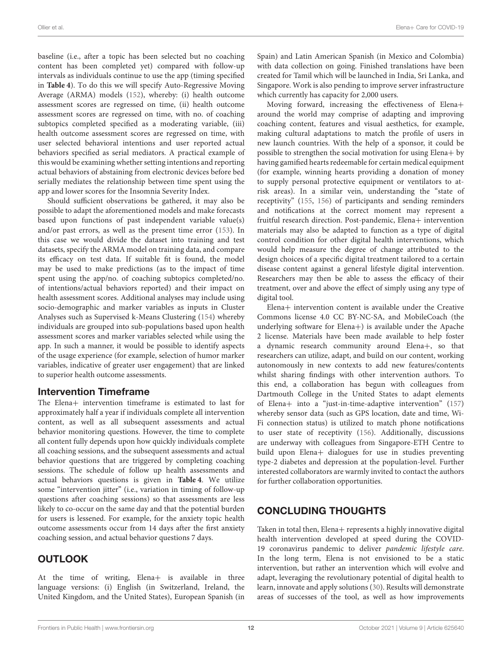baseline (i.e., after a topic has been selected but no coaching content has been completed yet) compared with follow-up intervals as individuals continue to use the app (timing specified in **[Table 4](#page-12-0)**). To do this we will specify Auto-Regressive Moving Average (ARMA) models [\(152\)](#page-17-36), whereby: (i) health outcome assessment scores are regressed on time, (ii) health outcome assessment scores are regressed on time, with no. of coaching subtopics completed specified as a moderating variable, (iii) health outcome assessment scores are regressed on time, with user selected behavioral intentions and user reported actual behaviors specified as serial mediators. A practical example of this would be examining whether setting intentions and reporting actual behaviors of abstaining from electronic devices before bed serially mediates the relationship between time spent using the app and lower scores for the Insomnia Severity Index.

Should sufficient observations be gathered, it may also be possible to adapt the aforementioned models and make forecasts based upon functions of past independent variable value(s) and/or past errors, as well as the present time error [\(153\)](#page-17-37). In this case we would divide the dataset into training and test datasets, specify the ARMA model on training data, and compare its efficacy on test data. If suitable fit is found, the model may be used to make predictions (as to the impact of time spent using the app/no. of coaching subtopics completed/no. of intentions/actual behaviors reported) and their impact on health assessment scores. Additional analyses may include using socio-demographic and marker variables as inputs in Cluster Analyses such as Supervised k-Means Clustering [\(154\)](#page-17-38) whereby individuals are grouped into sub-populations based upon health assessment scores and marker variables selected while using the app. In such a manner, it would be possible to identify aspects of the usage experience (for example, selection of humor marker variables, indicative of greater user engagement) that are linked to superior health outcome assessments.

## Intervention Timeframe

The Elena+ intervention timeframe is estimated to last for approximately half a year if individuals complete all intervention content, as well as all subsequent assessments and actual behavior monitoring questions. However, the time to complete all content fully depends upon how quickly individuals complete all coaching sessions, and the subsequent assessments and actual behavior questions that are triggered by completing coaching sessions. The schedule of follow up health assessments and actual behaviors questions is given in **[Table 4](#page-12-0)**. We utilize some "intervention jitter" (i.e., variation in timing of follow-up questions after coaching sessions) so that assessments are less likely to co-occur on the same day and that the potential burden for users is lessened. For example, for the anxiety topic health outcome assessments occur from 14 days after the first anxiety coaching session, and actual behavior questions 7 days.

# **OUTLOOK**

At the time of writing, Elena+ is available in three language versions: (i) English (in Switzerland, Ireland, the United Kingdom, and the United States), European Spanish (in

Spain) and Latin American Spanish (in Mexico and Colombia) with data collection on going. Finished translations have been created for Tamil which will be launched in India, Sri Lanka, and Singapore. Work is also pending to improve server infrastructure which currently has capacity for 2,000 users.

Moving forward, increasing the effectiveness of Elena+ around the world may comprise of adapting and improving coaching content, features and visual aesthetics, for example, making cultural adaptations to match the profile of users in new launch countries. With the help of a sponsor, it could be possible to strengthen the social motivation for using Elena+ by having gamified hearts redeemable for certain medical equipment (for example, winning hearts providing a donation of money to supply personal protective equipment or ventilators to atrisk areas). In a similar vein, understanding the "state of receptivity" [\(155,](#page-17-39) [156\)](#page-17-40) of participants and sending reminders and notifications at the correct moment may represent a fruitful research direction. Post-pandemic, Elena+ intervention materials may also be adapted to function as a type of digital control condition for other digital health interventions, which would help measure the degree of change attributed to the design choices of a specific digital treatment tailored to a certain disease content against a general lifestyle digital intervention. Researchers may then be able to assess the efficacy of their treatment, over and above the effect of simply using any type of digital tool.

Elena+ intervention content is available under the Creative Commons license 4.0 CC BY-NC-SA, and MobileCoach (the underlying software for Elena+) is available under the Apache 2 license. Materials have been made available to help foster a dynamic research community around Elena+, so that researchers can utilize, adapt, and build on our content, working autonomously in new contexts to add new features/contents whilst sharing findings with other intervention authors. To this end, a collaboration has begun with colleagues from Dartmouth College in the United States to adapt elements of Elena+ into a "just-in-time-adaptive intervention" [\(157\)](#page-17-41) whereby sensor data (such as GPS location, date and time, Wi-Fi connection status) is utilized to match phone notifications to user state of receptivity [\(156\)](#page-17-40). Additionally, discussions are underway with colleagues from Singapore-ETH Centre to build upon Elena+ dialogues for use in studies preventing type-2 diabetes and depression at the population-level. Further interested collaborators are warmly invited to contact the authors for further collaboration opportunities.

# CONCLUDING THOUGHTS

Taken in total then, Elena+ represents a highly innovative digital health intervention developed at speed during the COVID-19 coronavirus pandemic to deliver pandemic lifestyle care. In the long term, Elena is not envisioned to be a static intervention, but rather an intervention which will evolve and adapt, leveraging the revolutionary potential of digital health to learn, innovate and apply solutions [\(30\)](#page-15-4). Results will demonstrate areas of successes of the tool, as well as how improvements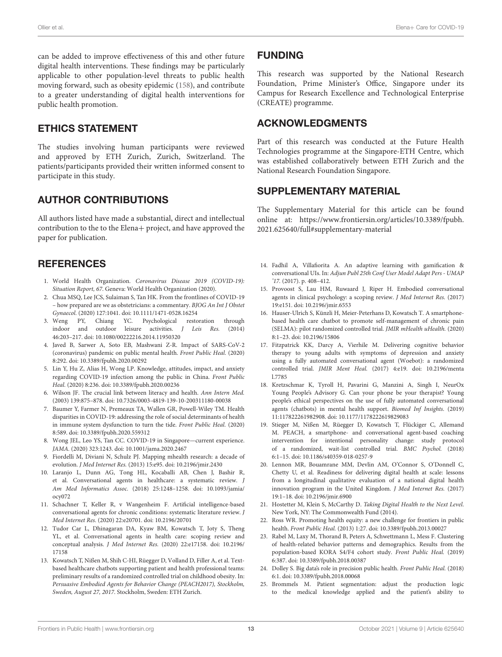can be added to improve effectiveness of this and other future digital health interventions. These findings may be particularly applicable to other population-level threats to public health moving forward, such as obesity epidemic [\(158\)](#page-17-42), and contribute to a greater understanding of digital health interventions for public health promotion.

## ETHICS STATEMENT

The studies involving human participants were reviewed and approved by ETH Zurich, Zurich, Switzerland. The patients/participants provided their written informed consent to participate in this study.

## AUTHOR CONTRIBUTIONS

All authors listed have made a substantial, direct and intellectual contribution to the to the Elena+ project, and have approved the paper for publication.

## **REFERENCES**

- <span id="page-14-0"></span>1. World Health Organization. Coronavirus Disease 2019 (COVID-19): Situation Report, 67. Geneva: World Health Organization (2020).
- <span id="page-14-1"></span>2. Chua MSQ, Lee JCS, Sulaiman S, Tan HK. From the frontlines of COVID-19 – how prepared are we as obstetricians: a commentary. BJOG An Int J Obstet Gynaecol. (2020) 127:1041. doi: [10.1111/1471-0528.16254](https://doi.org/10.1111/1471-0528.16254)
- <span id="page-14-2"></span>3. Weng PY, Chiang YC. Psychological restoration through indoor and outdoor leisure activities. J Leis Res. (2014) 46:203–217. doi: [10.1080/00222216.2014.11950320](https://doi.org/10.1080/00222216.2014.11950320)
- 4. Javed B, Sarwer A, Soto EB, Mashwani Z-R. Impact of SARS-CoV-2 (coronavirus) pandemic on public mental health. Front Public Heal. (2020) 8:292. doi: [10.3389/fpubh.2020.00292](https://doi.org/10.3389/fpubh.2020.00292)
- <span id="page-14-3"></span>5. Lin Y, Hu Z, Alias H, Wong LP. Knowledge, attitudes, impact, and anxiety regarding COVID-19 infection among the public in China. Front Public Heal. (2020) 8:236. doi: [10.3389/fpubh.2020.00236](https://doi.org/10.3389/fpubh.2020.00236)
- <span id="page-14-4"></span>6. Wilson JF. The crucial link between literacy and health. Ann Intern Med. (2003) 139:875–878. doi: [10.7326/0003-4819-139-10-200311180-00038](https://doi.org/10.7326/0003-4819-139-10-200311180-00038)
- <span id="page-14-5"></span>7. Baumer Y, Farmer N, Premeaux TA, Wallen GR, Powell-Wiley TM. Health disparities in COVID-19: addressing the role of social determinants of health in immune system dysfunction to turn the tide. Front Public Heal. (2020) 8:589. doi: [10.3389/fpubh.2020.559312](https://doi.org/10.3389/fpubh.2020.559312)
- <span id="page-14-6"></span>8. Wong JEL, Leo YS, Tan CC. COVID-19 in Singapore—current experience. JAMA. (2020) 323:1243. doi: [10.1001/jama.2020.2467](https://doi.org/10.1001/jama.2020.2467)
- <span id="page-14-7"></span>9. Fiordelli M, Diviani N, Schulz PJ. Mapping mhealth research: a decade of evolution. J Med Internet Res. (2013) 15:e95. doi: [10.2196/jmir.2430](https://doi.org/10.2196/jmir.2430)
- <span id="page-14-8"></span>10. Laranjo L, Dunn AG, Tong HL, Kocaballi AB, Chen J, Bashir R, et al. Conversational agents in healthcare: a systematic review. J Am Med Informatics Assoc. [\(2018\) 25:1248–1258. doi: 10.1093/jamia/](https://doi.org/10.1093/jamia/ocy072) ocy072
- <span id="page-14-13"></span>11. Schachner T, Keller R, v Wangenheim F. Artificial intelligence-based conversational agents for chronic conditions: systematic literature review. J Med Internet Res. (2020) 22:e20701. doi: [10.2196/20701](https://doi.org/10.2196/20701)
- <span id="page-14-9"></span>12. Tudor Car L, Dhinagaran DA, Kyaw BM, Kowatsch T, Joty S, Theng YL, et al. Conversational agents in health care: scoping review and conceptual analysis. J Med Internet Res. [\(2020\) 22:e17158. doi: 10.2196/](https://doi.org/10.2196/17158) 17158
- <span id="page-14-10"></span>13. Kowatsch T, Nißen M, Shih C-HI, Rüegger D, Volland D, Filler A, et al. Textbased healthcare chatbots supporting patient and health professional teams: preliminary results of a randomized controlled trial on childhood obesity. In: Persuasive Embodied Agents for Behavior Change (PEACH2017), Stockholm, Sweden, August 27, 2017. Stockholm, Sweden: ETH Zurich.

## FUNDING

This research was supported by the National Research Foundation, Prime Minister's Office, Singapore under its Campus for Research Excellence and Technological Enterprise (CREATE) programme.

## ACKNOWLEDGMENTS

Part of this research was conducted at the Future Health Technologies programme at the Singapore-ETH Centre, which was established collaboratively between ETH Zurich and the National Research Foundation Singapore.

## SUPPLEMENTARY MATERIAL

<span id="page-14-22"></span>The Supplementary Material for this article can be found [online at: https://www.frontiersin.org/articles/10.3389/fpubh.](https://www.frontiersin.org/articles/10.3389/fpubh.2021.625640/full#supplementary-material) 2021.625640/full#supplementary-material

- <span id="page-14-11"></span>14. Fadhil A, Villafiorita A. An adaptive learning with gamification & conversational UIs. In: Adjun Publ 25th Conf User Model Adapt Pers - UMAP '17. (2017). p. 408–412.
- <span id="page-14-12"></span>15. Provoost S, Lau HM, Ruwaard J, Riper H. Embodied conversational agents in clinical psychology: a scoping review. J Med Internet Res. (2017) 19:e151. doi: [10.2196/jmir.6553](https://doi.org/10.2196/jmir.6553)
- <span id="page-14-14"></span>16. Hauser-Ulrich S, Künzli H, Meier-Peterhans D, Kowatsch T. A smartphonebased health care chatbot to promote self-management of chronic pain (SELMA): pilot randomized controlled trial. JMIR mHealth uHealth. (2020) 8:1–23. doi: [10.2196/15806](https://doi.org/10.2196/15806)
- 17. Fitzpatrick KK, Darcy A, Vierhile M. Delivering cognitive behavior therapy to young adults with symptoms of depression and anxiety using a fully automated conversational agent (Woebot): a randomized controlled trial. JMIR Ment Heal. [\(2017\) 4:e19. doi: 10.2196/menta](https://doi.org/10.2196/mental.7785) l.7785
- <span id="page-14-21"></span>18. Kretzschmar K, Tyroll H, Pavarini G, Manzini A, Singh I, NeurOx Young People's Advisory G. Can your phone be your therapist? Young people's ethical perspectives on the use of fully automated conversational agents (chatbots) in mental health support. Biomed Inf Insights. (2019) 11:117822261982908. doi: [10.1177/1178222619829083](https://doi.org/10.1177/1178222619829083)
- <span id="page-14-15"></span>19. Stieger M, Nißen M, Rüegger D, Kowatsch T, Flückiger C, Allemand M. PEACH, a smartphone- and conversational agent-based coaching intervention for intentional personality change: study protocol of a randomized, wait-list controlled trial. BMC Psychol. (2018) 6:1–15. doi: [10.1186/s40359-018-0257-9](https://doi.org/10.1186/s40359-018-0257-9)
- <span id="page-14-16"></span>20. Lennon MR, Bouamrane MM, Devlin AM, O'Connor S, O'Donnell C, Chetty U, et al. Readiness for delivering digital health at scale: lessons from a longitudinal qualitative evaluation of a national digital health innovation program in the United Kingdom. J Med Internet Res. (2017) 19:1–18. doi: [10.2196/jmir.6900](https://doi.org/10.2196/jmir.6900)
- <span id="page-14-17"></span>21. Hostetter M, Klein S, McCarthy D. Taking Digital Health to the Next Level. New York, NY: The Commonwealth Fund (2014).
- <span id="page-14-18"></span>22. Ross WR. Promoting health equity: a new challenge for frontiers in public health. Front Public Heal. (2013) 1:27. doi: [10.3389/fpubh.2013.00027](https://doi.org/10.3389/fpubh.2013.00027)
- <span id="page-14-19"></span>23. Rabel M, Laxy M, Thorand B, Peters A, Schwettmann L, Mess F. Clustering of health-related behavior patterns and demographics. Results from the population-based KORA S4/F4 cohort study. Front Public Heal. (2019) 6:387. doi: [10.3389/fpubh.2018.00387](https://doi.org/10.3389/fpubh.2018.00387)
- 24. Dolley S. Big data's role in precision public health. Front Public Heal. (2018) 6:1. doi: [10.3389/fpubh.2018.00068](https://doi.org/10.3389/fpubh.2018.00068)
- <span id="page-14-20"></span>25. Brommels M. Patient segmentation: adjust the production logic to the medical knowledge applied and the patient's ability to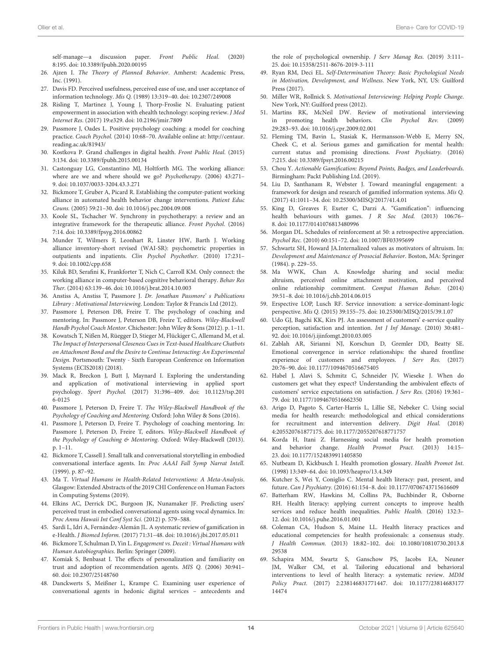self-manage—a discussion paper. Front Public Heal. (2020) 8:195. doi: [10.3389/fpubh.2020.00195](https://doi.org/10.3389/fpubh.2020.00195)

- <span id="page-15-0"></span>26. Ajzen I. The Theory of Planned Behavior. Amherst: Academic Press, Inc. (1991).
- <span id="page-15-1"></span>27. Davis FD. Perceived usefulness, perceived ease of use, and user acceptance of information technology. Mis Q. (1989) 13:319–40. doi: [10.2307/249008](https://doi.org/10.2307/249008)
- <span id="page-15-2"></span>28. Risling T, Martinez J, Young J, Thorp-Froslie N. Evaluating patient empowerment in association with ehealth technology: scoping review. J Med Internet Res. (2017) 19:e329. doi: [10.2196/jmir.7809](https://doi.org/10.2196/jmir.7809)
- <span id="page-15-3"></span>29. Passmore J, Oades L. Positive psychology coaching: a model for coaching practice. Coach Psychol. (2014) 10:68–70. Available online at: [http://centaur.](http://centaur.reading.ac.uk/81943/) [reading.ac.uk/81943/](http://centaur.reading.ac.uk/81943/)
- <span id="page-15-4"></span>30. Kostkova P. Grand challenges in digital health. Front Public Heal. (2015) 3:134. doi: [10.3389/fpubh.2015.00134](https://doi.org/10.3389/fpubh.2015.00134)
- <span id="page-15-5"></span>31. Castonguay LG, Constantino MJ, Holtforth MG. The working alliance: where are we and where should we go? Psychotherapy. (2006) 43:271– 9. doi: [10.1037/0033-3204.43.3.271](https://doi.org/10.1037/0033-3204.43.3.271)
- <span id="page-15-41"></span>32. Bickmore T, Gruber A, Picard R. Establishing the computer-patient working alliance in automated health behavior change interventions. Patient Educ Couns. (2005) 59:21–30. doi: [10.1016/j.pec.2004.09.008](https://doi.org/10.1016/j.pec.2004.09.008)
- <span id="page-15-6"></span>33. Koole SL, Tschacher W. Synchrony in psychotherapy: a review and an integrative framework for the therapeutic alliance. Front Psychol. (2016) 7:14. doi: [10.3389/fpsyg.2016.00862](https://doi.org/10.3389/fpsyg.2016.00862)
- <span id="page-15-7"></span>34. Munder T, Wilmers F, Leonhart R, Linster HW, Barth J. Working alliance inventory-short revised (WAI-SR): psychometric properties in outpatients and inpatients. Clin Psychol Psychother. (2010) 17:231– 9. doi: [10.1002/cpp.658](https://doi.org/10.1002/cpp.658)
- <span id="page-15-8"></span>35. Kiluk BD, Serafini K, Frankforter T, Nich C, Carroll KM. Only connect: the working alliance in computer-based cognitive behavioral therapy. Behav Res Ther. (2014) 63:139–46. doi: [10.1016/j.brat.2014.10.003](https://doi.org/10.1016/j.brat.2014.10.003)
- 36. Anstiss A, Anstiss T, Passmore J. Dr. Jonathan Passmore' s Publications Library : Motivational Interviewing. London: Taylor & Francis Ltd (2012).
- <span id="page-15-9"></span>37. Passmore J, Peterson DB, Freire T. The psychology of coaching and mentoring. In: Passmore J, Peterson DB, Freire T, editors. Wiley-Blackwell Handb Psychol Coach Mentor. Chichester: John Wiley & Sons (2012). p. 1–11.
- <span id="page-15-10"></span>38. Kowatsch T, Nißen M, Rüegger D, Stieger M, Flückiger C, Allemand M, et al. The Impact of Interpersonal Closeness Cues in Text-based Healthcare Chatbots on Attachment Bond and the Desire to Continue Interacting: An Experimental Design. Portsmouth: Twenty - Sixth European Conference on Information Systems (ECIS2018) (2018).
- <span id="page-15-11"></span>39. Mack R, Breckon J, Butt J, Maynard I. Exploring the understanding and application of motivational interviewing in applied sport psychology. Sport Psychol. [\(2017\) 31:396–409. doi: 10.1123/tsp.201](https://doi.org/10.1123/tsp.2016-0125) 6-0125
- <span id="page-15-12"></span>40. Passmore J, Peterson D, Freire T. The Wiley-Blackwell Handbook of the Psychology of Coaching and Mentoring. Oxford: John Wiley & Sons (2016).
- <span id="page-15-13"></span>41. Passmore J, Peterson D, Freire T. Psychology of coaching mentoring. In: Passmore J, Peterson D, Freire T, editors. Wiley-Blackwell Handbook of the Psychology of Coaching & Mentoring. Oxford: Wiley-Blackwell (2013). p. 1–11.
- <span id="page-15-14"></span>42. Bickmore T, Cassell J. Small talk and conversational storytelling in embodied conversational interface agents. In: Proc AAAI Fall Symp Narrat Intell. (1999). p. 87–92.
- <span id="page-15-15"></span>43. Ma T. Virtual Humans in Health-Related Interventions: A Meta-Analysis. Glasgow: Extended Abstracts of the 2019 CHI Conference on Human Factors in Computing Systems (2019).
- <span id="page-15-16"></span>44. Elkins AC, Derrick DC, Burgoon JK, Nunamaker JF. Predicting users' perceived trust in embodied conversational agents using vocal dynamics. In: Proc Annu Hawaii Int Conf Syst Sci. (2012) p. 579–588.
- <span id="page-15-17"></span>45. Sardi L, Idri A, Fernández-Alemán JL. A systematic review of gamification in e-Health. J Biomed Inform. (2017) 71:31–48. doi: [10.1016/j.jbi.2017.05.011](https://doi.org/10.1016/j.jbi.2017.05.011)
- <span id="page-15-18"></span>46. Bickmore T, Schulman D, Yin L. Engagement vs. Deceit : Virtual Humans with Human Autobiographies. Berlin: Springer (2009).
- <span id="page-15-19"></span>47. Komiak S, Benbasat I. The effects of personalization and familiarity on trust and adoption of recommendation agents. MIS Q. (2006) 30:941– 60. doi: [10.2307/25148760](https://doi.org/10.2307/25148760)
- <span id="page-15-20"></span>48. Danckwerts S, Meißner L, Krampe C. Examining user experience of conversational agents in hedonic digital services – antecedents and

the role of psychological ownership. J Serv Manag Res. (2019) 3:111– 25. doi: [10.15358/2511-8676-2019-3-111](https://doi.org/10.15358/2511-8676-2019-3-111)

- <span id="page-15-21"></span>49. Ryan RM, Deci EL. Self-Determination Theory: Basic Psychological Needs in Motivation, Development, and Wellness. New York, NY, US: Guilford Press (2017).
- 50. Miller WR, Rollnick S. Motivational Interviewing: Helping People Change. New York, NY: Guilford press (2012).
- <span id="page-15-22"></span>51. Martins RK, McNeil DW. Review of motivational interviewing in promoting health behaviors. Clin Psychol Rev. (2009) 29:283–93. doi: [10.1016/j.cpr.2009.02.001](https://doi.org/10.1016/j.cpr.2009.02.001)
- <span id="page-15-23"></span>52. Fleming TM, Bavin L, Stasiak K, Hermansson-Webb E, Merry SN, Cheek C, et al. Serious games and gamification for mental health: current status and promising directions. Front Psychiatry. (2016) 7:215. doi: [10.3389/fpsyt.2016.00215](https://doi.org/10.3389/fpsyt.2016.00215)
- <span id="page-15-24"></span>53. Chou Y. Actionable Gamification: Beyond Points, Badges, and Leaderboards. Birmingham: Packt Publishing Ltd. (2019).
- <span id="page-15-25"></span>54. Liu D, Santhanam R, Webster J. Toward meaningful engagement: a framework for design and research of gamified information systems. Mis Q. (2017) 41:1011–34. doi: [10.25300/MISQ/2017/41.4.01](https://doi.org/10.25300/MISQ/2017/41.4.01)
- <span id="page-15-26"></span>55. King D, Greaves F, Exeter C, Darzi A. "Gamification": influencing health behaviours with games. J R Soc Med. (2013) 106:76– 8. doi: [10.1177/0141076813480996](https://doi.org/10.1177/0141076813480996)
- <span id="page-15-27"></span>56. Morgan DL. Schedules of reinforcement at 50: a retrospective appreciation. Psychol Rec. (2010) 60:151–72. doi: [10.1007/BF03395699](https://doi.org/10.1007/BF03395699)
- <span id="page-15-28"></span>57. Schwartz SH, Howard JA.Internalized values as motivators of altruism. In: Development and Maintenance of Prosocial Behavior. Boston, MA: Springer (1984). p. 229–55.
- <span id="page-15-29"></span>58. Ma WWK, Chan A. Knowledge sharing and social media: altruism, perceived online attachment motivation, and perceived online relationship commitment. Comput Human Behav. (2014) 39:51–8. doi: [10.1016/j.chb.2014.06.015](https://doi.org/10.1016/j.chb.2014.06.015)
- <span id="page-15-30"></span>59. Erspective LOP, Lusch RF. Service innovation: a service-dominant-logic perspective. Mis Q. (2015) 39:155–75. doi: [10.25300/MISQ/2015/39.1.07](https://doi.org/10.25300/MISQ/2015/39.1.07)
- <span id="page-15-31"></span>60. Udo GJ, Bagchi KK, Kirs PJ. An assessment of customers' e-service quality perception, satisfaction and intention. Int J Inf Manage. (2010) 30:481– 92. doi: [10.1016/j.ijinfomgt.2010.03.005](https://doi.org/10.1016/j.ijinfomgt.2010.03.005)
- <span id="page-15-32"></span>61. Zablah AR, Sirianni NJ, Korschun D, Gremler DD, Beatty SE. Emotional convergence in service relationships: the shared frontline experience of customers and employees. J Serv Res. (2017) 20:76–90. doi: [10.1177/1094670516675405](https://doi.org/10.1177/1094670516675405)
- <span id="page-15-33"></span>62. Habel J, Alavi S, Schmitz C, Schneider JV, Wieseke J. When do customers get what they expect? Understanding the ambivalent effects of customers' service expectations on satisfaction. J Serv Res. (2016) 19:361– 79. doi: [10.1177/1094670516662350](https://doi.org/10.1177/1094670516662350)
- <span id="page-15-34"></span>63. Arigo D, Pagoto S, Carter-Harris L, Lillie SE, Nebeker C. Using social media for health research: methodological and ethical considerations for recruitment and intervention delivery. Digit Heal. (2018) 4:205520761877175. doi: [10.1177/2055207618771757](https://doi.org/10.1177/2055207618771757)
- <span id="page-15-35"></span>64. Korda H, Itani Z. Harnessing social media for health promotion and behavior change. Health Promot Pract. (2013) 14:15– 23. doi: [10.1177/1524839911405850](https://doi.org/10.1177/1524839911405850)
- <span id="page-15-36"></span>65. Nutbeam D, Kickbusch I. Health promotion glossary. Health Promot Int. (1998) 13:349–64. doi: [10.1093/heapro/13.4.349](https://doi.org/10.1093/heapro/13.4.349)
- <span id="page-15-37"></span>66. Kutcher S, Wei Y, Coniglio C. Mental health literacy: past, present, and future. Can J Psychiatry. (2016) 61:154–8. doi: [10.1177/0706743715616609](https://doi.org/10.1177/0706743715616609)
- <span id="page-15-38"></span>67. Batterham RW, Hawkins M, Collins PA, Buchbinder R, Osborne RH. Health literacy: applying current concepts to improve health services and reduce health inequalities. Public Health. (2016) 132:3– 12. doi: [10.1016/j.puhe.2016.01.001](https://doi.org/10.1016/j.puhe.2016.01.001)
- <span id="page-15-39"></span>68. Coleman CA, Hudson S, Maine LL. Health literacy practices and educational competencies for health professionals: a consensus study. J Health Commun. [\(2013\) 18:82–102. doi: 10.1080/10810730.2013.8](https://doi.org/10.1080/10810730.2013.829538) 29538
- <span id="page-15-40"></span>69. Schapira MM, Swartz S, Ganschow PS, Jacobs EA, Neuner JM, Walker CM, et al. Tailoring educational and behavioral interventions to level of health literacy: a systematic review. MDM Policy Pract. [\(2017\) 2:238146831771447. doi: 10.1177/23814683177](https://doi.org/10.1177/2381468317714474) 14474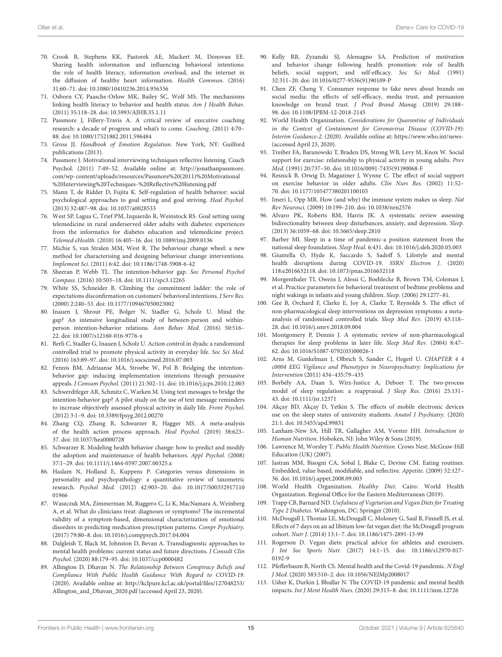- <span id="page-16-0"></span>70. Crook B, Stephens KK, Pastorek AE, Mackert M, Donovan EE. Sharing health information and influencing behavioral intentions: the role of health literacy, information overload, and the internet in the diffusion of healthy heart information. Health Commun. (2016) 31:60–71. doi: [10.1080/10410236.2014.936336](https://doi.org/10.1080/10410236.2014.936336)
- <span id="page-16-1"></span>71. Osborn CY, Paasche-Orlow MK, Bailey SC, Wolf MS. The mechanisms linking health literacy to behavior and health status. Am J Health Behav. (2011) 35:118–28. doi: [10.5993/AJHB.35.1.11](https://doi.org/10.5993/AJHB.35.1.11)
- <span id="page-16-2"></span>72. Passmore J, Fillery-Travis A. A critical review of executive coaching research: a decade of progress and what's to come. Coaching. (2011) 4:70– 88. doi: [10.1080/17521882.2011.596484](https://doi.org/10.1080/17521882.2011.596484)
- <span id="page-16-3"></span>73. Gross JJ. Handbook of Emotion Regulation. New York, NY: Guilford publications (2013).
- <span id="page-16-4"></span>74. Passmore J. Motivational interviewing techniques reflective listening. Coach Psychol. (2011) 7:49–52. Available online at: [http://jonathanpassmore.](http://jonathanpassmore.com/wp-content/uploads/resources/Passmore%20(2011)%20Motivational%20Interviewing%20Techniques-%20Reflective%20listening.pdf) [com/wp-content/uploads/resources/Passmore%20\(2011\)%20Motivational](http://jonathanpassmore.com/wp-content/uploads/resources/Passmore%20(2011)%20Motivational%20Interviewing%20Techniques-%20Reflective%20listening.pdf) [%20Interviewing%20Techniques-%20Reflective%20listening.pdf](http://jonathanpassmore.com/wp-content/uploads/resources/Passmore%20(2011)%20Motivational%20Interviewing%20Techniques-%20Reflective%20listening.pdf)
- <span id="page-16-5"></span>75. Mann T, de Ridder D, Fujita K. Self-regulation of health behavior: social psychological approaches to goal setting and goal striving. Heal Psychol. (2013) 32:487–98. doi: [10.1037/a0028533](https://doi.org/10.1037/a0028533)
- <span id="page-16-6"></span>76. West SP, Lagua C, Trief PM, Izquierdo R, Weinstock RS. Goal setting using telemedicine in rural underserved older adults with diabetes: experiences from the informatics for diabetes education and telemedicine project. Telemed eHealth. (2010) 16:405–16. doi: [10.1089/tmj.2009.0136](https://doi.org/10.1089/tmj.2009.0136)
- <span id="page-16-7"></span>77. Michie S, van Stralen MM, West R. The behaviour change wheel: a new method for characterising and designing behaviour change interventions. Implement Sci. (2011) 6:42. doi: [10.1186/1748-5908-6-42](https://doi.org/10.1186/1748-5908-6-42)
- <span id="page-16-8"></span>78. Sheeran P, Webb TL. The intention-behavior gap. Soc Personal Psychol Compass. (2016) 10:503–18. doi: [10.1111/spc3.12265](https://doi.org/10.1111/spc3.12265)
- <span id="page-16-9"></span>79. White SS, Schneider B. Climbing the commitment ladder: the role of expectations disconfirmation on customers' behavioral intentions. J Serv Res. (2000) 2:240–53. doi: [10.1177/109467050023002](https://doi.org/10.1177/109467050023002)
- 80. Inauen J, Shrout PE, Bolger N, Stadler G, Scholz U. Mind the gap? An intensive longitudinal study of between-person and withinperson intention-behavior relations. Ann Behav Med. (2016) 50:516– 22. doi: [10.1007/s12160-016-9776-x](https://doi.org/10.1007/s12160-016-9776-x)
- <span id="page-16-10"></span>81. Berli C, Stadler G, Inauen J, Scholz U. Action control in dyads: a randomized controlled trial to promote physical activity in everyday life. Soc Sci Med. (2016) 163:89–97. doi: [10.1016/j.socscimed.2016.07.003](https://doi.org/10.1016/j.socscimed.2016.07.003)
- <span id="page-16-11"></span>82. Fennis BM, Adriaanse MA, Stroebe W, Pol B. Bridging the intentionbehavior gap: inducing implementation intentions through persuasive appeals. J Consum Psychol. (2011) 21:302–11. doi: [10.1016/j.jcps.2010.12.003](https://doi.org/10.1016/j.jcps.2010.12.003)
- <span id="page-16-12"></span>83. Schwerdtfeger AR, Schmitz C, Warken M. Using text messages to bridge the intention-behavior gap? A pilot study on the use of text message reminders to increase objectively assessed physical activity in daily life. Front Psychol. (2012) 3:1–9. doi: [10.3389/fpsyg.2012.00270](https://doi.org/10.3389/fpsyg.2012.00270)
- <span id="page-16-13"></span>84. Zhang CQ, Zhang R, Schwarzer R, Hagger MS. A meta-analysis of the health action process approach. Heal Psychol. (2019) 38:623– 37. doi: [10.1037/hea0000728](https://doi.org/10.1037/hea0000728)
- <span id="page-16-14"></span>85. Schwarzer R. Modeling health behavior change: how to predict and modify the adoption and maintenance of health behaviors. Appl Psychol. (2008) 57:1–29. doi: [10.1111/j.1464-0597.2007.00325.x](https://doi.org/10.1111/j.1464-0597.2007.00325.x)
- <span id="page-16-15"></span>86. Haslam N, Holland E, Kuppens P. Categories versus dimensions in personality and psychopathology: a quantitative review of taxometric research. Psychol Med. [\(2012\) 42:903–20. doi: 10.1017/S00332917110](https://doi.org/10.1017/S0033291711001966) 01966
- 87. Waszczuk MA, Zimmerman M, Ruggero C, Li K, MacNamara A, Weinberg A, et al. What do clinicians treat: diagnoses or symptoms? The incremental validity of a symptom-based, dimensional characterization of emotional disorders in predicting medication prescription patterns. Compr Psychiatry. (2017) 79:80–8. doi: [10.1016/j.comppsych.2017.04.004](https://doi.org/10.1016/j.comppsych.2017.04.004)
- <span id="page-16-16"></span>88. Dalgleish T, Black M, Johnston D, Bevan A. Transdiagnostic approaches to mental health problems: current status and future directions. J Consult Clin Psychol. (2020) 88:179–95. doi: [10.1037/ccp0000482](https://doi.org/10.1037/ccp0000482)
- <span id="page-16-17"></span>89. Allington D, Dhavan N. The Relationship Between Conspiracy Beliefs and Compliance With Public Health Guidance With Regard to COVID-19. (2020). Available online at: [http://kclpure.kcl.ac.uk/portal/files/127048253/](http://kclpure.kcl.ac.uk/portal/files/127048253/Allington_and_Dhavan_2020.pdf) [Allington\\_and\\_Dhavan\\_2020.pdf](http://kclpure.kcl.ac.uk/portal/files/127048253/Allington_and_Dhavan_2020.pdf) (accessed April 23, 2020).
- <span id="page-16-18"></span>90. Kelly RB, Zyzanski SJ, Alemagno SA. Prediction of motivation and behavior change following health promotion: role of health beliefs, social support, and self-efficacy. Soc Sci Med. (1991) 32:311–20. doi: [10.1016/0277-9536\(91\)90109-P](https://doi.org/10.1016/0277-9536(91)90109-P)
- <span id="page-16-19"></span>91. Chen ZF, Cheng Y. Consumer response to fake news about brands on social media: the effects of self-efficacy, media trust, and persuasion knowledge on brand trust. J Prod Brand Manag. (2019) 29:188– 98. doi: [10.1108/JPBM-12-2018-2145](https://doi.org/10.1108/JPBM-12-2018-2145)
- <span id="page-16-20"></span>92. World Health Organization. Considerations for Quarantine of Individuals in the Context of Containment for Coronavirus Disease (COVID-19): Interim Guidance-2. (2020). Available online at:<https://www.who.int/news-> (accessed April 23, 2020).
- <span id="page-16-21"></span>93. Treiber FA, Baranowski T, Braden DS, Strong WB, Levy M, Knox W. Social support for exercise: relationship to physical activity in young adults. Prev Med. (1991) 20:737–50. doi: [10.1016/0091-7435\(91\)90068-F](https://doi.org/10.1016/0091-7435(91)90068-F)
- <span id="page-16-22"></span>94. Resnick B, Orwig D, Magaziner J, Wynne C. The effect of social support on exercise behavior in older adults. Clin Nurs Res. (2002) 11:52– 70. doi: [10.1177/105477380201100105](https://doi.org/10.1177/105477380201100105)
- <span id="page-16-23"></span>95. Imeri L, Opp MR. How (and why) the immune system makes us sleep. Nat Rev Neurosci. (2009) 10:199–210. doi: [10.1038/nrn2576](https://doi.org/10.1038/nrn2576)
- <span id="page-16-24"></span>96. Alvaro PK, Roberts RM, Harris JK. A systematic review assessing bidirectionality between sleep disturbances, anxiety, and depression. Sleep. (2013) 36:1059–68. doi: [10.5665/sleep.2810](https://doi.org/10.5665/sleep.2810)
- <span id="page-16-25"></span>97. Barber MI. Sleep in a time of pandemic-a position statement from the national sleep foundation. Sleep Heal. 6:431. doi: [10.1016/j.sleh.2020.05.003](https://doi.org/10.1016/j.sleh.2020.05.003)
- <span id="page-16-26"></span>98. Giuntella O, Hyde K, Saccardo S, Sadoff S. Lifestyle and mental health disruptions during COVID-19. SSRN Electron J. (2020) 118:e2016632118. doi: [10.1073/pnas.2016632118](https://doi.org/10.1073/pnas.2016632118)
- <span id="page-16-27"></span>99. Morgenthaler TI, Owens J, Alessi C, Boehlecke B, Brown TM, Coleman J, et al. Practice parameters for behavioral treatment of bedtime problems and night wakings in infants and young children. Sleep. (2006) 29:1277–81.
- <span id="page-16-28"></span>100. Gee B, Orchard F, Clarke E, Joy A, Clarke T, Reynolds S. The effect of non-pharmacological sleep interventions on depression symptoms: a metaanalysis of randomised controlled trials. Sleep Med Rev. (2019) 43:118– 28. doi: [10.1016/j.smrv.2018.09.004](https://doi.org/10.1016/j.smrv.2018.09.004)
- <span id="page-16-29"></span>101. Montgomery P, Dennis J. A systematic review of non-pharmacological therapies for sleep problems in later life. Sleep Med Rev. (2004) 8:47– 62. doi: [10.1016/S1087-0792\(03\)00026-1](https://doi.org/10.1016/S1087-0792(03)00026-1)
- <span id="page-16-30"></span>102. Arns M, Gunkelman J, Olbrich S, Sander C, Hegerl U. CHAPTER 4 4 c0004 EEG Vigilance and Phenotypes in Neuropsychiatry: Implications for Intervention (2011) 434–435:79–435
- <span id="page-16-31"></span>103. Borbély AA, Daan S, Wirz-Justice A, Deboer T. The two-process model of sleep regulation: a reappraisal. J Sleep Res. (2016) 25:131– 43. doi: [10.1111/jsr.12371](https://doi.org/10.1111/jsr.12371)
- <span id="page-16-32"></span>104. Akçay BD, Akçay D, Yetkin S. The effects of mobile electronic devices use on the sleep states of university students. Anatol J Psychiatry. (2020) 21:1. doi: [10.5455/apd.99831](https://doi.org/10.5455/apd.99831)
- <span id="page-16-33"></span>105. Lanham-New SA, Hill TR, Gallagher AM, Vorster HH. Introduction to Human Nutrition. Hoboken, NJ: John Wiley & Sons (2019).
- <span id="page-16-34"></span>106. Lawrence M, Worsley T. Public Health Nutrition. Crows Nest: McGraw-Hill Education (UK) (2007).
- <span id="page-16-35"></span>107. Jastran MM, Bisogni CA, Sobal J, Blake C, Devine CM. Eating routines. Embedded, value based, modifiable, and reflective. Appetite. (2009) 52:127– 36. doi: [10.1016/j.appet.2008.09.003](https://doi.org/10.1016/j.appet.2008.09.003)
- <span id="page-16-36"></span>108. World Health Organization. Healthy Diet. Cairo: World Health Organization. Regional Office for the Eastern Mediterranean (2019).
- <span id="page-16-37"></span>109. Trapp CB, Barnard ND. Usefulness of Vegetarian and Vegan Diets for Treating Type 2 Diabetes. Washington, DC: Springer (2010).
- 110. McDougall J, Thomas LE, McDougall C, Moloney G, Saul B, Finnell JS, et al. Effects of 7 days on an ad libitum low-fat vegan diet: the McDougall program cohort. Nutr J. (2014) 13:1–7. doi: [10.1186/1475-2891-13-99](https://doi.org/10.1186/1475-2891-13-99)
- <span id="page-16-38"></span>111. Rogerson D. Vegan diets: practical advice for athletes and exercisers. J Int Soc Sports Nutr. [\(2017\) 14:1–15. doi: 10.1186/s12970-017-](https://doi.org/10.1186/s12970-017-0192-9) 0192-9
- <span id="page-16-39"></span>112. Pfefferbaum B, North CS. Mental health and the Covid-19 pandemic. N Engl J Med. (2020) 383:510–2. doi: [10.1056/NEJMp2008017](https://doi.org/10.1056/NEJMp2008017)
- <span id="page-16-40"></span>113. Usher K, Durkin J, Bhullar N. The COVID-19 pandemic and mental health impacts. Int J Ment Health Nurs. (2020) 29:315–8. doi: [10.1111/inm.12726](https://doi.org/10.1111/inm.12726)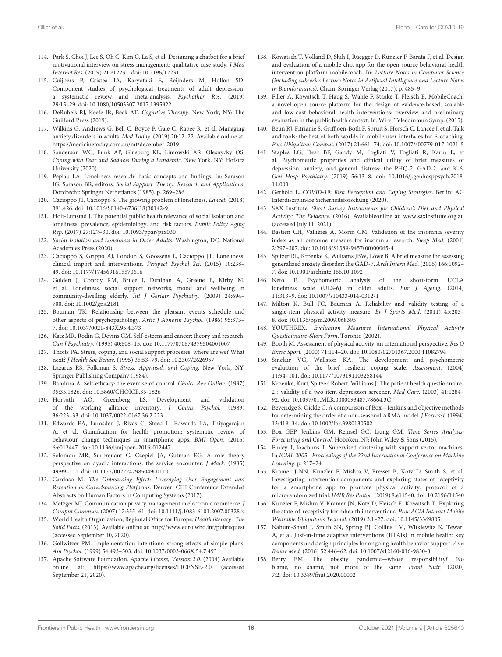- <span id="page-17-0"></span>114. Park S, Choi J, Lee S, Oh C, Kim C, La S, et al. Designing a chatbot for a brief motivational interview on stress management: qualitative case study. J Med Internet Res. (2019) 21:e12231. doi: [10.2196/12231](https://doi.org/10.2196/12231)
- <span id="page-17-1"></span>115. Cuijpers P, Cristea IA, Karyotaki E, Reijnders M, Hollon SD. Component studies of psychological treatments of adult depression: a systematic review and meta-analysis. Psychother Res. (2019) 29:15–29. doi: [10.1080/10503307.2017.1395922](https://doi.org/10.1080/10503307.2017.1395922)
- 116. DeRubeis RJ, Keefe JR, Beck AT. Cognitive Therapy. New York, NY: The Guilford Press (2019).
- <span id="page-17-2"></span>117. Wilkins G, Andrews G, Bell C, Boyce P, Gale C, Rapee R, et al. Managing anxiety disorders in adults. Med Today. (2019) 20:12–22. Available online at: <https://medicinetoday.com.au/mt/december-2019>
- <span id="page-17-3"></span>118. Sanderson WC, Funk AP, Ginsburg KL, Limowski AR, Olesnycky OS. Coping with Fear and Sadness During a Pandemic. New York, NY: Hofstra University (2020).
- <span id="page-17-4"></span>119. Peplau LA. Loneliness research: basic concepts and findings. In: Sarason IG, Sarason BR, editors. Social Support: Theory, Research and Applications. Dordrecht: Springer Netherlands (1985). p. 269–286.
- <span id="page-17-5"></span>120. Cacioppo JT, Cacioppo S. The growing problem of loneliness. Lancet. (2018) 391:426. doi: [10.1016/S0140-6736\(18\)30142-9](https://doi.org/10.1016/S0140-6736(18)30142-9)
- 121. Holt-Lunstad J. The potential public health relevance of social isolation and loneliness: prevalence, epidemiology, and risk factors. Public Policy Aging Rep. (2017) 27:127–30. doi: [10.1093/ppar/prx030](https://doi.org/10.1093/ppar/prx030)
- <span id="page-17-6"></span>122. Social Isolation and Loneliness in Older Adults. Washington, DC: National Academies Press (2020).
- <span id="page-17-7"></span>123. Cacioppo S, Grippo AJ, London S, Goossens L, Cacioppo JT. Loneliness: clinical import and interventions. Perspect Psychol Sci. (2015) 10:238– 49. doi: [10.1177/1745691615570616](https://doi.org/10.1177/1745691615570616)
- <span id="page-17-8"></span>124. Golden J, Conroy RM, Bruce I, Denihan A, Greene E, Kirby M, et al. Loneliness, social support networks, mood and wellbeing in community-dwelling elderly. Int J Geriatr Psychiatry. (2009) 24:694– 700. doi: [10.1002/gps.2181](https://doi.org/10.1002/gps.2181)
- <span id="page-17-9"></span>125. Bouman TK. Relationship between the pleasant events schedule and other aspects of psychopathology. Artic J Abnorm Psychol. (1986) 95:373– 7. doi: [10.1037/0021-843X.95.4.373](https://doi.org/10.1037/0021-843X.95.4.373)
- <span id="page-17-10"></span>126. Katz MR, Rodin G, Devins GM. Self-esteem and cancer: theory and research. Can J Psychiatry. (1995) 40:608–15. doi: [10.1177/070674379504001007](https://doi.org/10.1177/070674379504001007)
- <span id="page-17-11"></span>127. Thoits PA. Stress, coping, and social support processes: where are we? What next? J Health Soc Behav. (1995) 35:53–79. doi: [10.2307/2626957](https://doi.org/10.2307/2626957)
- <span id="page-17-12"></span>128. Lazarus RS, Folkman S. Stress, Appraisal, and Coping. New York, NY: Springer Publishing Company (1984).
- <span id="page-17-13"></span>129. Bandura A. Self-efficacy: the exercise of control. Choice Rev Online. (1997) 35:35.1826. doi: [10.5860/CHOICE.35-1826](https://doi.org/10.5860/CHOICE.35-1826)
- <span id="page-17-18"></span>130. Horvath AO, Greenberg LS. Development and validation of the working alliance inventory. J Couns Psychol. (1989) 36:223–33. doi: [10.1037/0022-0167.36.2.223](https://doi.org/10.1037/0022-0167.36.2.223)
- <span id="page-17-19"></span>131. Edwards EA, Lumsden J, Rivas C, Steed L, Edwards LA, Thiyagarajan A, et al. Gamification for health promotion: systematic review of behaviour change techniques in smartphone apps. BMJ Open. (2016) 6:e012447. doi: [10.1136/bmjopen-2016-012447](https://doi.org/10.1136/bmjopen-2016-012447)
- <span id="page-17-20"></span>132. Solomon MR, Surprenant C, Czepiel JA, Gutman EG. A role theory perspective on dyadic interactions: the service encounter. J Mark. (1985) 49:99–111. doi: [10.1177/002224298504900110](https://doi.org/10.1177/002224298504900110)
- <span id="page-17-21"></span>133. Cardoso M. The Onboarding Effect: Leveraging User Engagement and Retention in Crowdsourcing Platforms. Denver: CHI Conference Extended Abstracts on Human Factors in Computing Systems (2017).
- <span id="page-17-22"></span>134. Metzger MJ. Communication privacy management in electronic commerce. J Comput Commun. (2007) 12:335–61. doi: [10.1111/j.1083-6101.2007.00328.x](https://doi.org/10.1111/j.1083-6101.2007.00328.x)
- <span id="page-17-23"></span>135. World Health Organization, Regional Office for Europe. Health literacy : The Solid Facts. (2013). Available online at:<http://www.euro.who.int/pubrequest> (accessed September 10, 2020).
- <span id="page-17-24"></span>136. Gollwitzer PM. Implementation intentions: strong effects of simple plans. Am Psychol. (1999) 54:493–503. doi: [10.1037/0003-066X.54.7.493](https://doi.org/10.1037/0003-066X.54.7.493)
- <span id="page-17-14"></span>137. Apache Software Foundation. Apache License, Version 2.0. (2004) Available online at:<https://www.apache.org/licenses/LICENSE-2.0> (accessed September 21, 2020).
- <span id="page-17-15"></span>138. Kowatsch T, Volland D, Shih I, Rüegger D, Künzler F, Barata F, et al. Design and evaluation of a mobile chat app for the open source behavioral health intervention platform mobilecoach. In: Lecture Notes in Computer Science (including subseries Lecture Notes in Artificial Intelligence and Lecture Notes in Bioinformatics). Cham: Springer Verlag (2017). p. 485–9.
- <span id="page-17-16"></span>139. Filler A, Kowatsch T, Haug S, Wahle F, Staake T, Fleisch E. MobileCoach: a novel open source platform for the design of evidence-based, scalable and low-cost behavioral health interventions: overview and preliminary evaluation in the public health context. In: Wirel Telecommun Symp. (2015).
- <span id="page-17-17"></span>140. Beun RJ, Fitrianie S, Griffioen-Both F, Spruit S, Horsch C, Lancee J, et al. Talk and tools: the best of both worlds in mobile user interfaces for E-coaching. Pers Ubiquitous Comput. (2017) 21:661–74. doi: [10.1007/s00779-017-1021-5](https://doi.org/10.1007/s00779-017-1021-5)
- <span id="page-17-35"></span>141. Staples LG, Dear BF, Gandy M, Fogliati V, Fogliati R, Karin E, et al. Psychometric properties and clinical utility of brief measures of depression, anxiety, and general distress: the PHQ-2, GAD-2, and K-6. Gen Hosp Psychiatry. [\(2019\) 56:13–8. doi: 10.1016/j.genhosppsych.2018.](https://doi.org/10.1016/j.genhosppsych.2018.11.003) 11.003
- <span id="page-17-25"></span>142. Gerhold L. COVID-19: Risk Perception and Coping Strategies. Berlin: AG Interdisziplin4re Sicherheitsforschung (2020).
- <span id="page-17-26"></span>143. SAX Institute. Short Survey Instruments for Children's Diet and Physical Activity: The Evidence. (2016). Availableonline at: [www.saxinstitute.org.au](http://www.saxinstitute.org.au) (accessed July 11, 2021).
- <span id="page-17-27"></span>144. Bastien CH, Vallières A, Morin CM. Validation of the insomnia severity index as an outcome measure for insomnia research. Sleep Med. (2001) 2:297–307. doi: [10.1016/S1389-9457\(00\)00065-4](https://doi.org/10.1016/S1389-9457(00)00065-4)
- <span id="page-17-28"></span>145. Spitzer RL, Kroenke K, Williams JBW, Löwe B. A brief measure for assessing generalized anxiety disorder: the GAD-7. Arch Intern Med. (2006) 166:1092– 7. doi: [10.1001/archinte.166.10.1092](https://doi.org/10.1001/archinte.166.10.1092)
- <span id="page-17-29"></span>146. Neto F. Psychometric analysis of the short-form UCLA loneliness scale (ULS-6) in older adults. Eur J Ageing. (2014) 11:313–9. doi: [10.1007/s10433-014-0312-1](https://doi.org/10.1007/s10433-014-0312-1)
- <span id="page-17-30"></span>147. Milton K, Bull FC, Bauman A. Reliability and validity testing of a single-item physical activity measure. Br J Sports Med. (2011) 45:203– 8. doi: [10.1136/bjsm.2009.068395](https://doi.org/10.1136/bjsm.2009.068395)
- <span id="page-17-31"></span>148. YOUTHREX. Evaluation Measures International Physical Activity Questionnaire-Short Form. Toronto (2002).
- <span id="page-17-32"></span>149. Booth M. Assessment of physical activity: an international perspective. Res Q Exerc Sport. (2000) 71:114–20. doi: [10.1080/02701367.2000.11082794](https://doi.org/10.1080/02701367.2000.11082794)
- <span id="page-17-33"></span>150. Sinclair VG, Wallston KA. The development and psychometric evaluation of the brief resilient coping scale. Assessment. (2004) 11:94–101. doi: [10.1177/1073191103258144](https://doi.org/10.1177/1073191103258144)
- <span id="page-17-34"></span>151. Kroenke, Kurt, Spitzer, Robert, Williams J. The patient health questionnaire-2 : validity of a two-item depression screener. Med Care. (2003) 41:1284– 92. doi: [10.1097/01.MLR.0000093487.78664.3C](https://doi.org/10.1097/01.MLR.0000093487.78664.3C)
- <span id="page-17-36"></span>152. Beveridge S, Oickle C. A comparison of Box—Jenkins and objective methods for determining the order of a non-seasonal ARMA model. J Forecast. (1994) 13:419–34. doi: [10.1002/for.3980130502](https://doi.org/10.1002/for.3980130502)
- <span id="page-17-37"></span>153. Box GEP, Jenkins GM, Reinsel GC, Ljung GM. Time Series Analysis: Forecasting and Control. Hoboken, NJ: John Wiley & Sons (2015).
- <span id="page-17-38"></span>154. Finley T, Joachims T. Supervised clustering with support vector machines. In ICML 2005 - Proceedings of the 22nd International Conference on Machine Learning. p. 217–24.
- <span id="page-17-39"></span>155. Kramer J-NN, Künzler F, Mishra V, Presset B, Kotz D, Smith S, et al. Investigating intervention components and exploring states of receptivity for a smartphone app to promote physical activity: protocol of a microrandomized trial. JMIR Res Protoc. (2019) 8:e11540. doi: [10.2196/11540](https://doi.org/10.2196/11540)
- <span id="page-17-40"></span>156. Kunzler F, Mishra V, Kramer JN, Kotz D, Fleisch E, Kowatsch T. Exploring the state-of-receptivity for mhealth interventions. Proc ACM Interact Mobile Wearable Ubiquitous Technol. (2019) 3:1–27. doi: [10.1145/3369805](https://doi.org/10.1145/3369805)
- <span id="page-17-41"></span>157. Nahum-Shani I, Smith SN, Spring BJ, Collins LM, Witkiewitz K, Tewari A, et al. Just-in-time adaptive interventions (JITAIs) in mobile health: key components and design principles for ongoing health behavior support. Ann Behav Med. (2016) 52:446–62. doi: [10.1007/s12160-016-9830-8](https://doi.org/10.1007/s12160-016-9830-8)
- <span id="page-17-42"></span>158. Berry EM. The obesity pandemic—whose responsibility? No blame, no shame, not more of the same. Front Nutr. (2020) 7:2. doi: [10.3389/fnut.2020.00002](https://doi.org/10.3389/fnut.2020.00002)